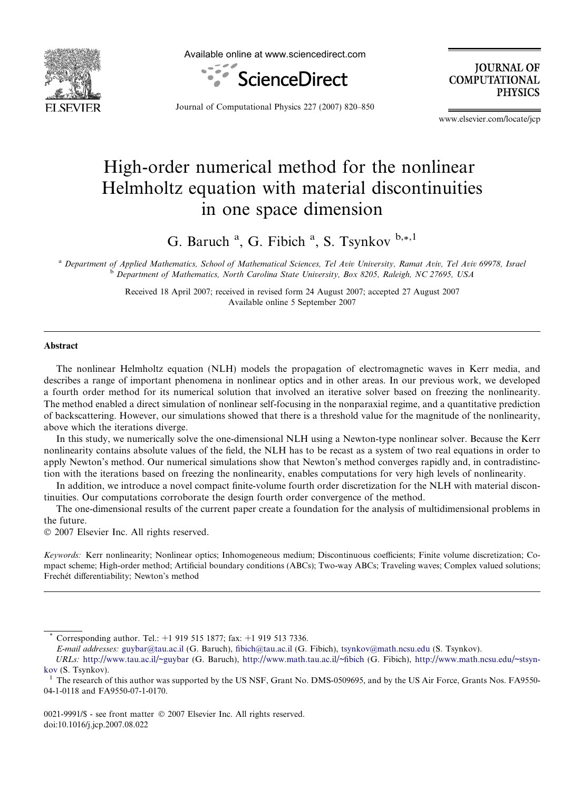

Available online at www.sciencedirect.com



**JOURNAL OF COMPUTATIONAL PHYSICS** 

Journal of Computational Physics 227 (2007) 820–850

www.elsevier.com/locate/jcp

# High-order numerical method for the nonlinear Helmholtz equation with material discontinuities in one space dimension

G. Baruch <sup>a</sup>, G. Fibich <sup>a</sup>, S. Tsynkov b,\*,1

<sup>a</sup> Department of Applied Mathematics, School of Mathematical Sciences, Tel Aviv University, Ramat Aviv, Tel Aviv 69978, Israel <sup>b</sup> Department of Mathematics, North Carolina State University, Box 8205, Raleigh, NC 27695, USA

> Received 18 April 2007; received in revised form 24 August 2007; accepted 27 August 2007 Available online 5 September 2007

## Abstract

The nonlinear Helmholtz equation (NLH) models the propagation of electromagnetic waves in Kerr media, and describes a range of important phenomena in nonlinear optics and in other areas. In our previous work, we developed a fourth order method for its numerical solution that involved an iterative solver based on freezing the nonlinearity. The method enabled a direct simulation of nonlinear self-focusing in the nonparaxial regime, and a quantitative prediction of backscattering. However, our simulations showed that there is a threshold value for the magnitude of the nonlinearity, above which the iterations diverge.

In this study, we numerically solve the one-dimensional NLH using a Newton-type nonlinear solver. Because the Kerr nonlinearity contains absolute values of the field, the NLH has to be recast as a system of two real equations in order to apply Newton's method. Our numerical simulations show that Newton's method converges rapidly and, in contradistinction with the iterations based on freezing the nonlinearity, enables computations for very high levels of nonlinearity.

In addition, we introduce a novel compact finite-volume fourth order discretization for the NLH with material discontinuities. Our computations corroborate the design fourth order convergence of the method.

The one-dimensional results of the current paper create a foundation for the analysis of multidimensional problems in the future.

 $© 2007 Elsevier Inc. All rights reserved.$ 

Keywords: Kerr nonlinearity; Nonlinear optics; Inhomogeneous medium; Discontinuous coefficients; Finite volume discretization; Compact scheme; High-order method; Artificial boundary conditions (ABCs); Two-way ABCs; Traveling waves; Complex valued solutions; Frechét differentiability; Newton's method

Corresponding author. Tel.: +1 919 515 1877; fax: +1 919 513 7336.

E-mail addresses: [guybar@tau.ac.il](mailto:guybar@tau.ac.il) (G. Baruch), [fibich@tau.ac.il](mailto:fibich@tau.ac.il) (G. Fibich), [tsynkov@math.ncsu.edu](mailto:tsynkov@math.ncsu.edu) (S. Tsynkov).

URLs: <http://www.tau.ac.il/~guybar> (G. Baruch), <http://www.math.tau.ac.il/~fibich> (G. Fibich), [http://www.math.ncsu.edu/~stsyn](http://www.math.ncsu.edu/~stsynkov)[kov](http://www.math.ncsu.edu/~stsynkov) (S. Tsynkov).<br><sup>1</sup> The research of this author was supported by the US NSF, Grant No. DMS-0509695, and by the US Air Force, Grants Nos. FA9550-

<sup>04-1-0118</sup> and FA9550-07-1-0170.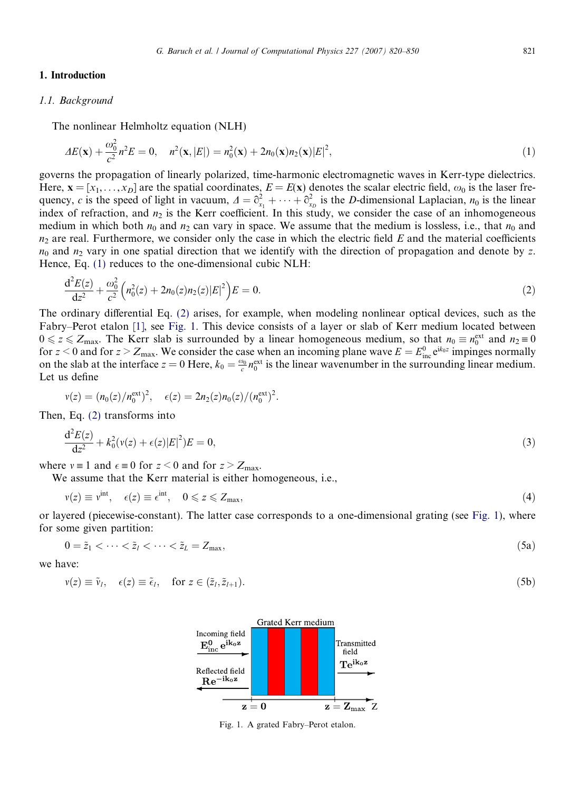# <span id="page-1-0"></span>1. Introduction

#### 1.1. Background

The nonlinear Helmholtz equation (NLH)

$$
\Delta E(\mathbf{x}) + \frac{\omega_0^2}{c^2} n^2 E = 0, \quad n^2(\mathbf{x}, |E|) = n_0^2(\mathbf{x}) + 2n_0(\mathbf{x})n_2(\mathbf{x})|E|^2,
$$
\n(1)

governs the propagation of linearly polarized, time-harmonic electromagnetic waves in Kerr-type dielectrics. Here,  $\mathbf{x} = [x_1, \dots, x_D]$  are the spatial coordinates,  $E = E(\mathbf{x})$  denotes the scalar electric field,  $\omega_0$  is the laser frequency, c is the speed of light in vacuum,  $\Delta = \partial_{x_1}^2 + \cdots + \partial_{x_p}^2$  is the D-dimensional Laplacian,  $n_0$  is the linear index of refraction, and  $n_2$  is the Kerr coefficient. In this study, we consider the case of an inhomogeneous medium in which both  $n_0$  and  $n_2$  can vary in space. We assume that the medium is lossless, i.e., that  $n_0$  and  $n_2$  are real. Furthermore, we consider only the case in which the electric field E and the material coefficients  $n_0$  and  $n_2$  vary in one spatial direction that we identify with the direction of propagation and denote by z. Hence, Eq. (1) reduces to the one-dimensional cubic NLH:

$$
\frac{\mathrm{d}^2 E(z)}{\mathrm{d} z^2} + \frac{\omega_0^2}{c^2} \left( n_0^2(z) + 2n_0(z)n_2(z)|E|^2 \right) E = 0. \tag{2}
$$

The ordinary differential Eq. (2) arises, for example, when modeling nonlinear optical devices, such as the Fabry–Perot etalon [\[1\]](#page-29-0), see Fig. 1. This device consists of a layer or slab of Kerr medium located between  $0 \le z \le Z_{\text{max}}$ . The Kerr slab is surrounded by a linear homogeneous medium, so that  $n_0 \equiv n_0^{\text{ext}}$  and  $n_2 \equiv 0$ for  $z \le 0$  and for  $z > Z_{\text{max}}$ . We consider the case when an incoming plane wave  $E = E_{\text{inc}}^0 e^{ik_0 z}$  impinges normally on the slab at the interface  $z = 0$  Here,  $k_0 = \frac{\omega_0}{c} n_0^{\text{ext}}$  is the linear wavenumber in the surrounding linear medium. Let us define

$$
v(z) = (n_0(z)/n_0^{\text{ext}})^2
$$
,  $\epsilon(z) = 2n_2(z)n_0(z)/(n_0^{\text{ext}})^2$ .

Then, Eq. (2) transforms into

$$
\frac{d^2E(z)}{dz^2} + k_0^2(v(z) + \epsilon(z)|E|^2)E = 0,
$$
\n(3)

where  $v \equiv 1$  and  $\epsilon \equiv 0$  for  $z < 0$  and for  $z > Z_{\text{max}}$ .

We assume that the Kerr material is either homogeneous, i.e.,

$$
v(z) \equiv v^{\text{int}}, \quad \epsilon(z) \equiv \epsilon^{\text{int}}, \quad 0 \leq z \leq Z_{\text{max}}, \tag{4}
$$

or layered (piecewise-constant). The latter case corresponds to a one-dimensional grating (see Fig. 1), where for some given partition:

$$
0 = \tilde{z}_1 < \dots < \tilde{z}_l < \dots < \tilde{z}_L = Z_{\text{max}},\tag{5a}
$$

we have:

$$
v(z) \equiv \tilde{v}_l, \quad \epsilon(z) \equiv \tilde{\epsilon}_l, \quad \text{for } z \in (\tilde{z}_l, \tilde{z}_{l+1}). \tag{5b}
$$



Fig. 1. A grated Fabry–Perot etalon.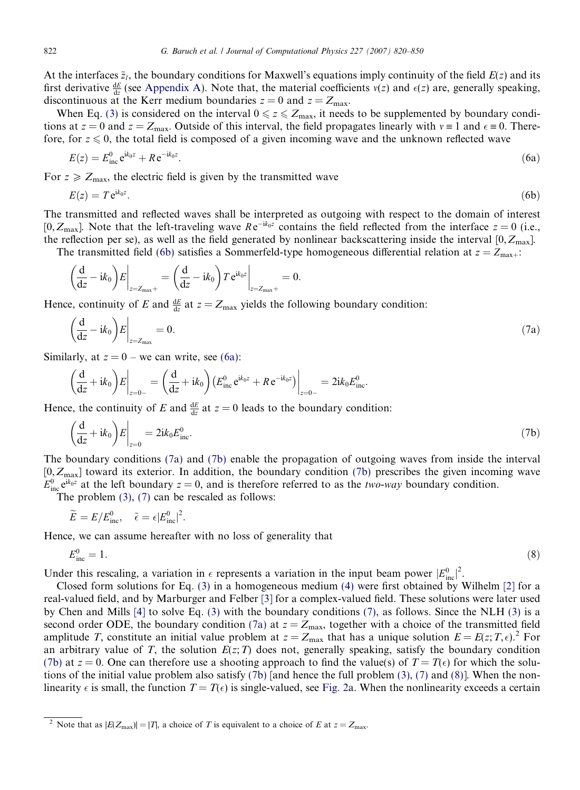<span id="page-2-0"></span>At the interfaces  $\tilde{z}_l$ , the boundary conditions for Maxwell's equations imply continuity of the field  $E(z)$  and its first derivative  $\frac{dE}{dz}$  (see Appendix A). Note that, the material coefficients  $v(z)$  and  $\epsilon(z)$  are, generally speaking, discontinuous at the Kerr medium boundaries  $z = 0$  and  $z = Z_{\text{max}}$ .

When Eq. [\(3\)](#page-1-0) is considered on the interval  $0 \le z \le Z_{\text{max}}$ , it needs to be supplemented by boundary conditions at  $z = 0$  and  $z = Z_{\text{max}}$ . Outside of this interval, the field propagates linearly with  $v \equiv 1$  and  $\epsilon \equiv 0$ . Therefore, for  $z \le 0$ , the total field is composed of a given incoming wave and the unknown reflected wave

$$
E(z) = E_{\text{inc}}^0 e^{ik_0 z} + R e^{-ik_0 z}.
$$
 (6a)

For  $z \ge Z_{\text{max}}$ , the electric field is given by the transmitted wave

$$
E(z) = T e^{ik_0 z}.
$$
 (6b)

The transmitted and reflected waves shall be interpreted as outgoing with respect to the domain of interest  $[0, Z_{\text{max}}]$ . Note that the left-traveling wave  $Re^{-ik_0z}$  contains the field reflected from the interface  $z = 0$  (i.e., the reflection per se), as well as the field generated by nonlinear backscattering inside the interval  $[0, Z_{\text{max}}]$ .

The transmitted field (6b) satisfies a Sommerfeld-type homogeneous differential relation at  $z = Z_{\text{max}+}$ :

$$
\left.\left(\frac{\mathrm{d}}{\mathrm{d} z}-\mathrm{i} k_0\right)\!E\right|_{z=Z_{max}+}=\left.\left(\frac{\mathrm{d}}{\mathrm{d} z}-\mathrm{i} k_0\right)T\,e^{\mathrm{i} k_0 z}\right|_{z=Z_{max}+}=0.
$$

Hence, continuity of E and  $\frac{dE}{dz}$  at  $z = Z_{\text{max}}$  yields the following boundary condition:

$$
\left(\frac{\mathrm{d}}{\mathrm{d}z} - \mathrm{i}k_0\right)E\Big|_{z=z_{\text{max}}} = 0. \tag{7a}
$$

Similarly, at  $z = 0$  – we can write, see (6a):

$$
\left(\frac{d}{dz} + ik_0\right) E\Big|_{z=0-} = \left(\frac{d}{dz} + ik_0\right) \left(E_{\text{inc}}^0 e^{ik_0 z} + Re^{-ik_0 z}\right)\Big|_{z=0-} = 2ik_0 E_{\text{inc}}^0.
$$

Hence, the continuity of E and  $\frac{dE}{dz}$  at  $z = 0$  leads to the boundary condition:

$$
\left(\frac{\mathrm{d}}{\mathrm{d}z} + \mathrm{i}k_0\right) E\Big|_{z=0} = 2\mathrm{i}k_0 E_{\text{inc}}^0. \tag{7b}
$$

The boundary conditions (7a) and (7b) enable the propagation of outgoing waves from inside the interval  $[0, Z_{\text{max}}]$  toward its exterior. In addition, the boundary condition (7b) prescribes the given incoming wave  $E_{\text{inc}}^0 e^{ik_0z}$  at the left boundary  $z = 0$ , and is therefore referred to as the two-way boundary condition.

The problem [\(3\),](#page-1-0) (7) can be rescaled as follows:

$$
\widetilde{E} = E/E_{\text{inc}}^0, \quad \widetilde{\epsilon} = \epsilon |E_{\text{inc}}^0|^2.
$$

Hence, we can assume hereafter with no loss of generality that

$$
E_{\rm inc}^0 = 1. \tag{8}
$$

Under this rescaling, a variation in  $\epsilon$  represents a variation in the input beam power  $|E_{\text{inc}}^0|^2$ .

Closed form solutions for Eq. [\(3\)](#page-1-0) in a homogeneous medium [\(4\)](#page-1-0) were first obtained by Wilhelm [\[2\]](#page-29-0) for a real-valued field, and by Marburger and Felber [\[3\]](#page-29-0) for a complex-valued field. These solutions were later used by Chen and Mills [\[4\]](#page-29-0) to solve Eq. [\(3\)](#page-1-0) with the boundary conditions (7), as follows. Since the NLH [\(3\)](#page-1-0) is a second order ODE, the boundary condition (7a) at  $z = Z_{\text{max}}$ , together with a choice of the transmitted field amplitude T, constitute an initial value problem at  $z = Z_{\text{max}}$  that has a unique solution  $E = E(z; T, \epsilon)$ .<sup>2</sup> For an arbitrary value of T, the solution  $E(z;T)$  does not, generally speaking, satisfy the boundary condition (7b) at  $z = 0$ . One can therefore use a shooting approach to find the value(s) of  $T = T(\epsilon)$  for which the solutions of the initial value problem also satisfy (7b) [and hence the full problem [\(3\),](#page-1-0) (7) and (8)]. When the nonlinearity  $\epsilon$  is small, the function  $T = T(\epsilon)$  is single-valued, see [Fig. 2](#page-3-0)a. When the nonlinearity exceeds a certain

<sup>&</sup>lt;sup>2</sup> Note that as  $|E(Z_{\text{max}})| = |T|$ , a choice of T is equivalent to a choice of E at  $z = Z_{\text{max}}$ .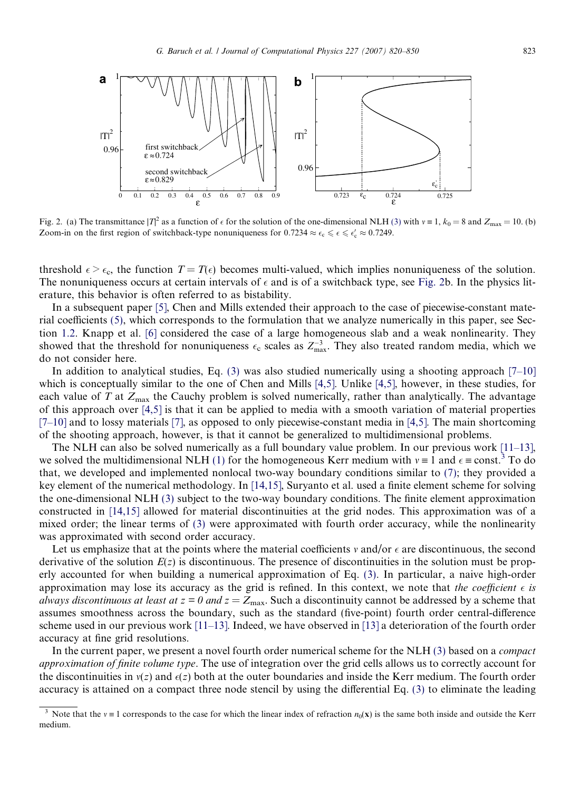<span id="page-3-0"></span>

Fig. 2. (a) The transmittance  $|T|^2$  as a function of  $\epsilon$  for the solution of the one-dimensional NLH [\(3\)](#page-1-0) with  $v \equiv 1$ ,  $k_0 = 8$  and  $Z_{\text{max}} = 10$ . (b) Zoom-in on the first region of switchback-type nonuniqueness for  $0.7234 \approx \epsilon_c \leq \epsilon \leq \epsilon_c' \approx 0.7249$ .

threshold  $\epsilon > \epsilon_c$ , the function  $T = T(\epsilon)$  becomes multi-valued, which implies nonuniqueness of the solution. The nonuniqueness occurs at certain intervals of  $\epsilon$  and is of a switchback type, see Fig. 2b. In the physics literature, this behavior is often referred to as bistability.

In a subsequent paper [\[5\]](#page-29-0), Chen and Mills extended their approach to the case of piecewise-constant material coefficients [\(5\),](#page-1-0) which corresponds to the formulation that we analyze numerically in this paper, see Section [1.2](#page-4-0). Knapp et al. [\[6\]](#page-29-0) considered the case of a large homogeneous slab and a weak nonlinearity. They showed that the threshold for nonuniqueness  $\epsilon_c$  scales as  $Z_{\text{max}}^{-3}$ . They also treated random media, which we do not consider here.

In addition to analytical studies, Eq. [\(3\)](#page-1-0) was also studied numerically using a shooting approach  $[7-10]$ which is conceptually similar to the one of Chen and Mills [\[4,5\].](#page-29-0) Unlike [\[4,5\],](#page-29-0) however, in these studies, for each value of T at  $Z_{\text{max}}$  the Cauchy problem is solved numerically, rather than analytically. The advantage of this approach over [\[4,5\]](#page-29-0) is that it can be applied to media with a smooth variation of material properties  $[7–10]$  and to lossy materials [\[7\],](#page-29-0) as opposed to only piecewise-constant media in [\[4,5\].](#page-29-0) The main shortcoming of the shooting approach, however, is that it cannot be generalized to multidimensional problems.

The NLH can also be solved numerically as a full boundary value problem. In our previous work [\[11–13\]](#page-30-0), we solved the multidimensional NLH [\(1\)](#page-1-0) for the homogeneous Kerr medium with  $v = 1$  and  $\epsilon = \text{const.}^3$  To do that, we developed and implemented nonlocal two-way boundary conditions similar to [\(7\);](#page-2-0) they provided a key element of the numerical methodology. In [\[14,15\]](#page-30-0), Suryanto et al. used a finite element scheme for solving the one-dimensional NLH [\(3\)](#page-1-0) subject to the two-way boundary conditions. The finite element approximation constructed in [\[14,15\]](#page-30-0) allowed for material discontinuities at the grid nodes. This approximation was of a mixed order; the linear terms of [\(3\)](#page-1-0) were approximated with fourth order accuracy, while the nonlinearity was approximated with second order accuracy.

Let us emphasize that at the points where the material coefficients v and/or  $\epsilon$  are discontinuous, the second derivative of the solution  $E(z)$  is discontinuous. The presence of discontinuities in the solution must be properly accounted for when building a numerical approximation of Eq. [\(3\)](#page-1-0). In particular, a naive high-order approximation may lose its accuracy as the grid is refined. In this context, we note that the coefficient  $\epsilon$  is always discontinuous at least at  $z = 0$  and  $z = Z_{\text{max}}$ . Such a discontinuity cannot be addressed by a scheme that assumes smoothness across the boundary, such as the standard (five-point) fourth order central-difference scheme used in our previous work [\[11–13\]](#page-30-0). Indeed, we have observed in [\[13\]](#page-30-0) a deterioration of the fourth order accuracy at fine grid resolutions.

In the current paper, we present a novel fourth order numerical scheme for the NLH [\(3\)](#page-1-0) based on a compact approximation of finite volume type. The use of integration over the grid cells allows us to correctly account for the discontinuities in  $v(z)$  and  $\epsilon(z)$  both at the outer boundaries and inside the Kerr medium. The fourth order accuracy is attained on a compact three node stencil by using the differential Eq. [\(3\)](#page-1-0) to eliminate the leading

<sup>&</sup>lt;sup>3</sup> Note that the  $v = 1$  corresponds to the case for which the linear index of refraction  $n_0(\mathbf{x})$  is the same both inside and outside the Kerr medium.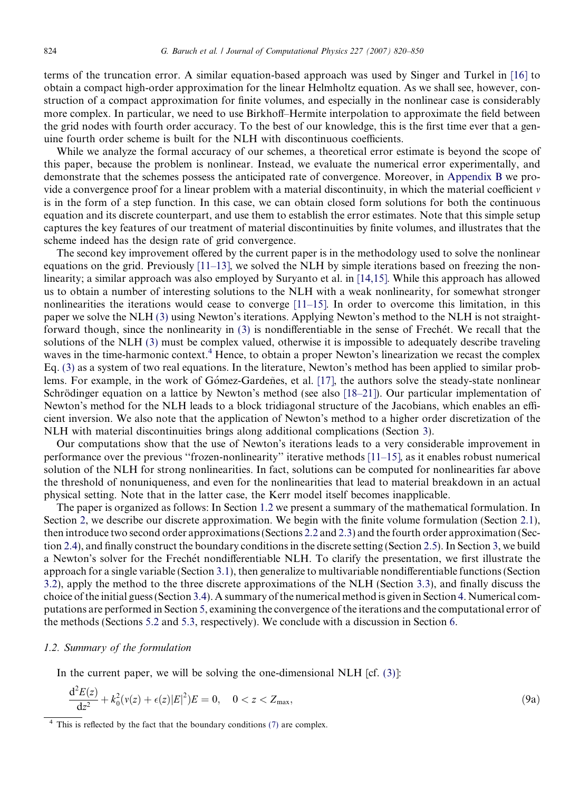<span id="page-4-0"></span>terms of the truncation error. A similar equation-based approach was used by Singer and Turkel in [\[16\]](#page-30-0) to obtain a compact high-order approximation for the linear Helmholtz equation. As we shall see, however, construction of a compact approximation for finite volumes, and especially in the nonlinear case is considerably more complex. In particular, we need to use Birkhoff–Hermite interpolation to approximate the field between the grid nodes with fourth order accuracy. To the best of our knowledge, this is the first time ever that a genuine fourth order scheme is built for the NLH with discontinuous coefficients.

While we analyze the formal accuracy of our schemes, a theoretical error estimate is beyond the scope of this paper, because the problem is nonlinear. Instead, we evaluate the numerical error experimentally, and demonstrate that the schemes possess the anticipated rate of convergence. Moreover, in Appendix B we provide a convergence proof for a linear problem with a material discontinuity, in which the material coefficient v is in the form of a step function. In this case, we can obtain closed form solutions for both the continuous equation and its discrete counterpart, and use them to establish the error estimates. Note that this simple setup captures the key features of our treatment of material discontinuities by finite volumes, and illustrates that the scheme indeed has the design rate of grid convergence.

The second key improvement offered by the current paper is in the methodology used to solve the nonlinear equations on the grid. Previously  $[11-13]$ , we solved the NLH by simple iterations based on freezing the nonlinearity; a similar approach was also employed by Suryanto et al. in [\[14,15\]](#page-30-0). While this approach has allowed us to obtain a number of interesting solutions to the NLH with a weak nonlinearity, for somewhat stronger nonlinearities the iterations would cease to converge  $[11-15]$ . In order to overcome this limitation, in this paper we solve the NLH [\(3\)](#page-1-0) using Newton's iterations. Applying Newton's method to the NLH is not straight-forward though, since the nonlinearity in [\(3\)](#page-1-0) is nondifferentiable in the sense of Frechet. We recall that the solutions of the NLH [\(3\)](#page-1-0) must be complex valued, otherwise it is impossible to adequately describe traveling waves in the time-harmonic context.<sup>4</sup> Hence, to obtain a proper Newton's linearization we recast the complex Eq. [\(3\)](#page-1-0) as a system of two real equations. In the literature, Newton's method has been applied to similar prob-lems. For example, in the work of Gómez-Gardeñes, et al. [\[17\]](#page-30-0), the authors solve the steady-state nonlinear Schrödinger equation on a lattice by Newton's method (see also  $[18–21]$ ). Our particular implementation of Newton's method for the NLH leads to a block tridiagonal structure of the Jacobians, which enables an efficient inversion. We also note that the application of Newton's method to a higher order discretization of the NLH with material discontinuities brings along additional complications (Section [3\)](#page-13-0).

Our computations show that the use of Newton's iterations leads to a very considerable improvement in performance over the previous ''frozen-nonlinearity'' iterative methods [\[11–15\],](#page-30-0) as it enables robust numerical solution of the NLH for strong nonlinearities. In fact, solutions can be computed for nonlinearities far above the threshold of nonuniqueness, and even for the nonlinearities that lead to material breakdown in an actual physical setting. Note that in the latter case, the Kerr model itself becomes inapplicable.

The paper is organized as follows: In Section 1.2 we present a summary of the mathematical formulation. In Section [2](#page-5-0), we describe our discrete approximation. We begin with the finite volume formulation (Section [2.1](#page-5-0)), then introduce two second order approximations (Sections [2.2](#page-6-0) and [2.3\)](#page-7-0) and the fourth order approximation (Section [2.4\)](#page-8-0), and finally construct the boundary conditions in the discrete setting (Section [2.5\)](#page-12-0). In Section [3,](#page-13-0) we build a Newton's solver for the Freche´t nondifferentiable NLH. To clarify the presentation, we first illustrate the approach for a single variable (Section [3.1\)](#page-13-0), then generalize to multivariable nondifferentiable functions (Section [3.2\)](#page-15-0), apply the method to the three discrete approximations of the NLH (Section [3.3\)](#page-16-0), and finally discuss the choice of the initial guess (Section [3.4](#page-16-0)). A summary of the numerical method is given in Section [4](#page-17-0). Numerical computations are performed in Section [5](#page-18-0), examining the convergence of the iterations and the computational error of the methods (Sections [5.2](#page-18-0) and [5.3](#page-21-0), respectively). We conclude with a discussion in Section [6](#page-23-0).

## 1.2. Summary of the formulation

In the current paper, we will be solving the one-dimensional NLH  $[cf. (3)]$  $[cf. (3)]$ :

$$
\frac{d^2E(z)}{dz^2} + k_0^2(v(z) + \epsilon(z)|E|^2)E = 0, \quad 0 < z < Z_{\text{max}},
$$
\n(9a)

<sup>&</sup>lt;sup>4</sup> This is reflected by the fact that the boundary conditions [\(7\)](#page-2-0) are complex.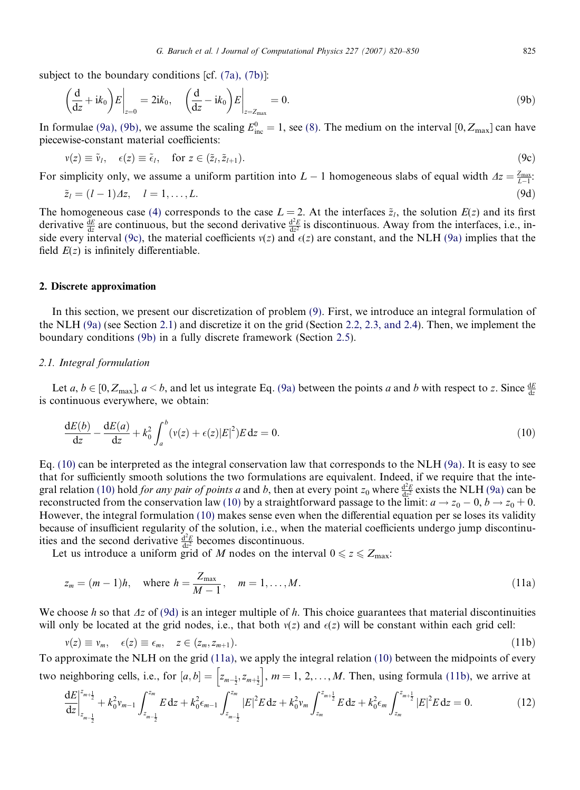<span id="page-5-0"></span>subject to the boundary conditions [cf.  $(7a)$ ,  $(7b)$ ]:

$$
\left.\left(\frac{\mathrm{d}}{\mathrm{d}z} + \mathrm{i}k_0\right)E\right|_{z=0} = 2\mathrm{i}k_0, \quad \left.\left(\frac{\mathrm{d}}{\mathrm{d}z} - \mathrm{i}k_0\right)E\right|_{z=z_{\text{max}}} = 0. \tag{9b}
$$

In formulae [\(9a\), \(9b\)](#page-4-0), we assume the scaling  $E_{inc}^0 = 1$ , see [\(8\).](#page-2-0) The medium on the interval [0,  $Z_{max}$ ] can have piecewise-constant material coefficients:

$$
v(z) \equiv \tilde{v}_l, \quad \epsilon(z) \equiv \tilde{\epsilon}_l, \quad \text{for } z \in (\tilde{z}_l, \tilde{z}_{l+1}). \tag{9c}
$$

For simplicity only, we assume a uniform partition into  $L-1$  homogeneous slabs of equal width  $\Delta z = \frac{Z_{\text{max}}}{L-1}$ .

$$
\tilde{z}_l = (l-1)\Delta z, \quad l = 1, \dots, L. \tag{9d}
$$

The homogeneous case [\(4\)](#page-1-0) corresponds to the case  $L = 2$ . At the interfaces  $\tilde{z}_l$ , the solution  $E(z)$  and its first derivative  $\frac{dE}{dz}$  are continuous, but the second derivative  $\frac{d^2E}{dz^2}$  is discontinuous. Away from the interfaces, i.e., inside every interval (9c), the material coefficients  $v(z)$  and  $\epsilon(z)$  are constant, and the NLH [\(9a\)](#page-4-0) implies that the field  $E(z)$  is infinitely differentiable.

#### 2. Discrete approximation

In this section, we present our discretization of problem [\(9\)](#page-4-0). First, we introduce an integral formulation of the NLH [\(9a\)](#page-4-0) (see Section 2.1) and discretize it on the grid (Section [2.2, 2.3, and 2.4](#page-6-0)). Then, we implement the boundary conditions (9b) in a fully discrete framework (Section [2.5\)](#page-12-0).

#### 2.1. Integral formulation

Let  $a, b \in [0, Z_{\text{max}}]$ ,  $a \le b$ , and let us integrate Eq. [\(9a\)](#page-4-0) between the points a and b with respect to z. Since  $\frac{dB}{dz}$ is continuous everywhere, we obtain:

$$
\frac{dE(b)}{dz} - \frac{dE(a)}{dz} + k_0^2 \int_a^b (v(z) + \epsilon(z)|E|^2) E dz = 0.
$$
\n(10)

Eq. (10) can be interpreted as the integral conservation law that corresponds to the NLH [\(9a\).](#page-4-0) It is easy to see that for sufficiently smooth solutions the two formulations are equivalent. Indeed, if we require that the integral relation (10) hold *for any pair of points a* and *b*, then at every point  $z_0$  where  $\frac{d^2E}{dz^2}$  exists the NLH [\(9a\)](#page-4-0) can be reconstructed from the conservation law (10) by a straightforward passage to the limit:  $a \rightarrow z_0 - 0, b \rightarrow z_0 + 0$ . However, the integral formulation (10) makes sense even when the differential equation per se loses its validity because of insufficient regularity of the solution, i.e., when the material coefficients undergo jump discontinuities and the second derivative  $\frac{d^2E}{dz^2}$  becomes discontinuous.

Let us introduce a uniform grid of M nodes on the interval  $0 \le z \le Z_{\text{max}}$ .

$$
z_m = (m-1)h, \text{ where } h = \frac{Z_{\text{max}}}{M-1}, \quad m = 1, ..., M. \tag{11a}
$$

We choose h so that  $\Delta z$  of (9d) is an integer multiple of h. This choice guarantees that material discontinuities will only be located at the grid nodes, i.e., that both  $v(z)$  and  $\epsilon(z)$  will be constant within each grid cell:

$$
v(z) \equiv v_m, \quad \epsilon(z) \equiv \epsilon_m, \quad z \in (z_m, z_{m+1}). \tag{11b}
$$

To approximate the NLH on the grid (11a), we apply the integral relation (10) between the midpoints of every two neighboring cells, i.e., for  $[a, b] = \left[z_{m-\frac{1}{2}}, z_{m+\frac{1}{2}}\right]$ ,  $m = 1, 2, ..., M$ . Then, using formula (11b), we arrive at

$$
\frac{dE\Big|_{z_{m-\frac{1}{2}}}^{z_{m+\frac{1}{2}}} + k_0^2 v_{m-1} \int_{z_{m-\frac{1}{2}}}^{z_m} E \, dz + k_0^2 \epsilon_{m-1} \int_{z_{m-\frac{1}{2}}}^{z_m} |E|^2 E \, dz + k_0^2 v_m \int_{z_m}^{z_{m+\frac{1}{2}}} E \, dz + k_0^2 \epsilon_m \int_{z_m}^{z_{m+\frac{1}{2}}} |E|^2 E \, dz = 0. \tag{12}
$$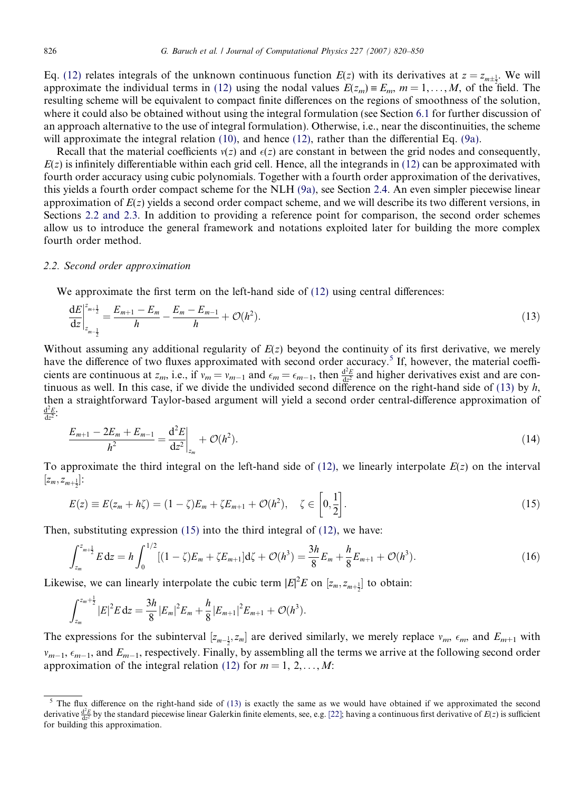<span id="page-6-0"></span>Eq. [\(12\)](#page-5-0) relates integrals of the unknown continuous function  $E(z)$  with its derivatives at  $z = z_{m\pm 1}$ . We will approximate the individual terms in [\(12\)](#page-5-0) using the nodal values  $E(z_m) = E_m$ ,  $m = 1, \ldots, M$ , of the field. The resulting scheme will be equivalent to compact finite differences on the regions of smoothness of the solution, where it could also be obtained without using the integral formulation (see Section [6.1](#page-23-0) for further discussion of an approach alternative to the use of integral formulation). Otherwise, i.e., near the discontinuities, the scheme will approximate the integral relation [\(10\)](#page-5-0), and hence [\(12\),](#page-5-0) rather than the differential Eq. [\(9a\).](#page-4-0)

Recall that the material coefficients  $v(z)$  and  $\epsilon(z)$  are constant in between the grid nodes and consequently,  $E(z)$  is infinitely differentiable within each grid cell. Hence, all the integrands in [\(12\)](#page-5-0) can be approximated with fourth order accuracy using cubic polynomials. Together with a fourth order approximation of the derivatives, this yields a fourth order compact scheme for the NLH [\(9a\)](#page-4-0), see Section [2.4.](#page-8-0) An even simpler piecewise linear approximation of  $E(z)$  yields a second order compact scheme, and we will describe its two different versions, in Sections 2.2 and 2.3. In addition to providing a reference point for comparison, the second order schemes allow us to introduce the general framework and notations exploited later for building the more complex fourth order method.

#### 2.2. Second order approximation

We approximate the first term on the left-hand side of [\(12\)](#page-5-0) using central differences:

$$
\frac{dE}{dz}\Big|_{z_{m-\frac{1}{2}}}^{z_{m+\frac{1}{2}}} = \frac{E_{m+1} - E_m}{h} - \frac{E_m - E_{m-1}}{h} + \mathcal{O}(h^2). \tag{13}
$$

Without assuming any additional regularity of  $E(z)$  beyond the continuity of its first derivative, we merely have the difference of two fluxes approximated with second order accuracy.<sup>5</sup> If, however, the material coefficients are continuous at  $z_m$ , i.e., if  $v_m = v_{m-1}$  and  $\epsilon_m = \epsilon_{m-1}$ , then  $\frac{d^2E}{dz^2}$  and higher derivatives exist and are continuous as well. In this case, if we divide the undivided second difference on the right-hand side of (13) by  $h$ , then a straightforward Taylor-based argument will yield a second order central-difference approximation of  $rac{\mathrm{d}^2 E}{\mathrm{d} z^2}$ .

$$
\frac{E_{m+1} - 2E_m + E_{m-1}}{h^2} = \frac{\mathrm{d}^2 E}{\mathrm{d} z^2}\bigg|_{z_m} + \mathcal{O}(h^2). \tag{14}
$$

To approximate the third integral on the left-hand side of  $(12)$ , we linearly interpolate  $E(z)$  on the interval  $[z_m, z_{m+\frac{1}{2}}]:$ 

$$
E(z) \equiv E(z_m + h\zeta) = (1 - \zeta)E_m + \zeta E_{m+1} + \mathcal{O}(h^2), \quad \zeta \in \left[0, \frac{1}{2}\right]. \tag{15}
$$

Then, substituting expression (15) into the third integral of [\(12\)](#page-5-0), we have:

$$
\int_{z_m}^{z_{m+\frac{1}{2}}} E \, dz = h \int_0^{1/2} [(1-\zeta)E_m + \zeta E_{m+1}] d\zeta + \mathcal{O}(h^3) = \frac{3h}{8} E_m + \frac{h}{8} E_{m+1} + \mathcal{O}(h^3).
$$
 (16)

Likewise, we can linearly interpolate the cubic term  $|E|^2 E$  on  $[z_m, z_{m+\frac{1}{2}}]$  to obtain:

$$
\int_{z_m}^{z_m+\frac{1}{2}} |E|^2 E \,dz = \frac{3h}{8} |E_m|^2 E_m + \frac{h}{8} |E_{m+1}|^2 E_{m+1} + \mathcal{O}(h^3).
$$

The expressions for the subinterval  $[z_{m-1}, z_m]$  are derived similarly, we merely replace  $v_m$ ,  $\epsilon_m$ , and  $E_{m+1}$  with  $v_{m-1}, \epsilon_{m-1}$ , and  $E_{m-1}$ , respectively. Finally, by assembling all the terms we arrive at the following second order approximation of the integral relation [\(12\)](#page-5-0) for  $m = 1, 2, \ldots, M$ :

 $<sup>5</sup>$  The flux difference on the right-hand side of (13) is exactly the same as we would have obtained if we approximated the second</sup> derivative  $\frac{d^2E}{dz^2}$  by the standard piecewise linear Galerkin finite elements, see, e.g. [\[22\];](#page-30-0) having a continuous first derivative of  $E(z)$  is sufficient for building this approximation.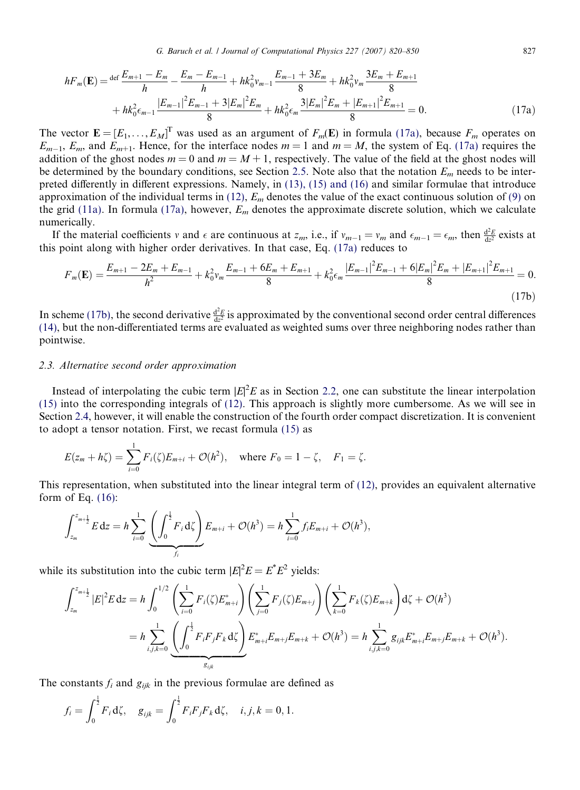G. Baruch et al. / Journal of Computational Physics 227 (2007) 820–850 827

<span id="page-7-0"></span>
$$
hF_m(\mathbf{E}) = \frac{\det E_{m+1} - E_m}{h} - \frac{E_m - E_{m-1}}{h} + hk_0^2 v_{m-1} \frac{E_{m-1} + 3E_m}{8} + hk_0^2 v_m \frac{3E_m + E_{m+1}}{8} + hk_0^2 \epsilon_{m-1} \frac{|E_{m-1}|^2 E_{m-1} + 3|E_m|^2 E_m}{8} + hk_0^2 \epsilon_m \frac{3|E_m|^2 E_m + |E_{m+1}|^2 E_{m+1}}{8} = 0.
$$
\n(17a)

The vector  $\mathbf{E} = [E_1, \dots, E_M]^T$  was used as an argument of  $F_m(\mathbf{E})$  in formula [\(17a\),](#page-6-0) because  $F_m$  operates on  $E_{m-1}$ ,  $E_m$ , and  $E_{m+1}$ . Hence, for the interface nodes  $m = 1$  and  $m = M$ , the system of Eq. [\(17a\)](#page-6-0) requires the addition of the ghost nodes  $m = 0$  and  $m = M + 1$ , respectively. The value of the field at the ghost nodes will be determined by the boundary conditions, see Section [2.5](#page-12-0). Note also that the notation  $E_m$  needs to be interpreted differently in different expressions. Namely, in [\(13\), \(15\) and \(16\)](#page-6-0) and similar formulae that introduce approximation of the individual terms in [\(12\),](#page-5-0)  $E_m$  denotes the value of the exact continuous solution of [\(9\)](#page-4-0) on the grid [\(11a\)](#page-5-0). In formula [\(17a\)](#page-6-0), however,  $E_m$  denotes the approximate discrete solution, which we calculate numerically.

If the material coefficients v and  $\epsilon$  are continuous at  $z_m$ , i.e., if  $v_{m-1} = v_m$  and  $\epsilon_{m-1} = \epsilon_m$ , then  $\frac{d^2E}{dz^2}$  exists at this point along with higher order derivatives. In that case, Eq. [\(17a\)](#page-6-0) reduces to

$$
F_m(\mathbf{E}) = \frac{E_{m+1} - 2E_m + E_{m-1}}{h^2} + k_0^2 v_m \frac{E_{m-1} + 6E_m + E_{m+1}}{8} + k_0^2 \epsilon_m \frac{|E_{m-1}|^2 E_{m-1} + 6|E_m|^2 E_m + |E_{m+1}|^2 E_{m+1}}{8} = 0. \tag{17b}
$$

In scheme (17b), the second derivative  $\frac{d^2E}{dz^2}$  is approximated by the conventional second order central differences [\(14\)](#page-6-0), but the non-differentiated terms are evaluated as weighted sums over three neighboring nodes rather than pointwise.

#### 2.3. Alternative second order approximation

Instead of interpolating the cubic term  $|E|^2 E$  as in Section [2.2,](#page-6-0) one can substitute the linear interpolation [\(15\)](#page-6-0) into the corresponding integrals of [\(12\).](#page-5-0) This approach is slightly more cumbersome. As we will see in Section [2.4](#page-8-0), however, it will enable the construction of the fourth order compact discretization. It is convenient to adopt a tensor notation. First, we recast formula [\(15\)](#page-6-0) as

$$
E(z_m + h\zeta) = \sum_{i=0}^{1} F_i(\zeta) E_{m+i} + \mathcal{O}(h^2), \text{ where } F_0 = 1 - \zeta, \quad F_1 = \zeta.
$$

This representation, when substituted into the linear integral term of [\(12\)](#page-5-0), provides an equivalent alternative form of Eq.  $(16)$ :

$$
\int_{z_m}^{z_{m+\frac{1}{2}}} E \, dz = h \sum_{i=0}^1 \underbrace{\left( \int_0^{\frac{1}{2}} F_i \, d\zeta \right)}_{f_i} E_{m+i} + \mathcal{O}(h^3) = h \sum_{i=0}^1 f_i E_{m+i} + \mathcal{O}(h^3),
$$

while its substitution into the cubic term  $|E|^2 E = E^* E^2$  yields:

$$
\int_{z_m}^{z_{m+\frac{1}{2}}} |E|^2 E \, dz = h \int_0^{1/2} \left( \sum_{i=0}^1 F_i(\zeta) E_{m+i}^* \right) \left( \sum_{j=0}^1 F_j(\zeta) E_{m+j} \right) \left( \sum_{k=0}^1 F_k(\zeta) E_{m+k} \right) d\zeta + \mathcal{O}(h^3)
$$
\n
$$
= h \sum_{i,j,k=0}^1 \underbrace{\left( \int_0^{\frac{1}{2}} F_i F_j F_k \, d\zeta \right)}_{g_{ijk}} E_{m+i}^* E_{m+j} E_{m+k} + \mathcal{O}(h^3) = h \sum_{i,j,k=0}^1 g_{ijk} E_{m+i}^* E_{m+j} E_{m+k} + \mathcal{O}(h^3).
$$

The constants  $f_i$  and  $g_{ijk}$  in the previous formulae are defined as

$$
f_i = \int_0^{\frac{1}{2}} F_i d\zeta, \quad g_{ijk} = \int_0^{\frac{1}{2}} F_i F_j F_k d\zeta, \quad i, j, k = 0, 1.
$$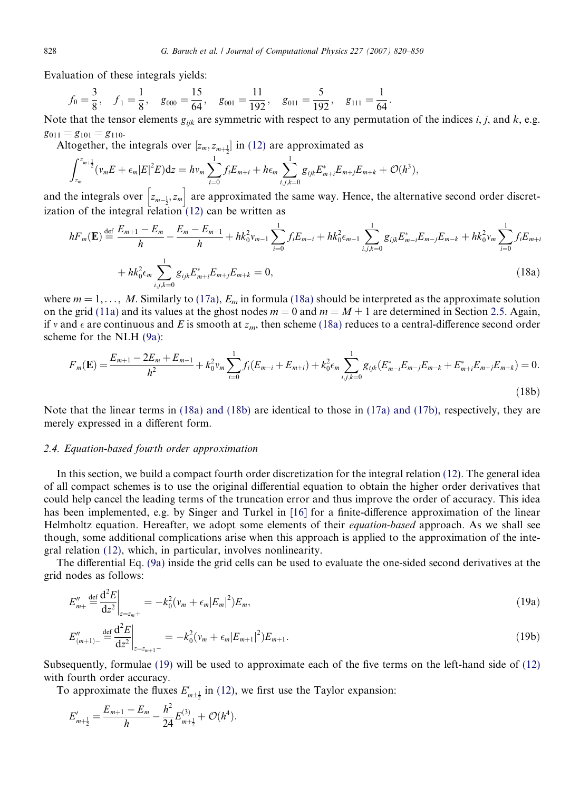<span id="page-8-0"></span>Evaluation of these integrals yields:

$$
f_0 = \frac{3}{8}
$$
,  $f_1 = \frac{1}{8}$ ,  $g_{000} = \frac{15}{64}$ ,  $g_{001} = \frac{11}{192}$ ,  $g_{011} = \frac{5}{192}$ ,  $g_{111} = \frac{1}{64}$ .

Note that the tensor elements  $g_{ijk}$  are symmetric with respect to any permutation of the indices i, j, and k, e.g.  $g_{011} = g_{101} = g_{110}.$ 

Altogether, the integrals over  $[z_m, z_{m+\frac{1}{2}}]$  in [\(12\)](#page-5-0) are approximated as

$$
\int_{z_m}^{z_{m+\frac{1}{2}}} (v_m E + \epsilon_m |E|^2 E) dz = h v_m \sum_{i=0}^1 f_i E_{m+i} + h \epsilon_m \sum_{i,j,k=0}^1 g_{ijk} E_{m+i}^* E_{m+j} E_{m+k} + \mathcal{O}(h^3),
$$

and the integrals over  $\left[z_{m-\frac{1}{2}}, z_m\right]$  are approximated the same way. Hence, the alternative second order discretization of the integral relation  $(12)$  can be written as

$$
hF_m(\mathbf{E}) \stackrel{\text{def}}{=} \frac{E_{m+1} - E_m}{h} - \frac{E_m - E_{m-1}}{h} + hk_0^2 v_{m-1} \sum_{i=0}^1 f_i E_{m-i} + hk_0^2 \epsilon_{m-1} \sum_{i,j,k=0}^1 g_{ijk} E_{m-i}^* E_{m-j} E_{m-k} + hk_0^2 v_m \sum_{i=0}^1 f_i E_{m+i}
$$
  
+  $hk_0^2 \epsilon_m \sum_{i,j,k=0}^1 g_{ijk} E_{m+i}^* E_{m+j} E_{m+k} = 0,$  (18a)

where  $m = 1, \ldots, M$ . Similarly to [\(17a\),](#page-6-0)  $E_m$  in formula (18a) should be interpreted as the approximate solution on the grid [\(11a\)](#page-5-0) and its values at the ghost nodes  $m = 0$  and  $m = M + 1$  are determined in Section [2.5.](#page-12-0) Again, if v and  $\epsilon$  are continuous and E is smooth at  $z_m$ , then scheme (18a) reduces to a central-difference second order scheme for the NLH [\(9a\):](#page-4-0)

$$
F_m(\mathbf{E}) = \frac{E_{m+1} - 2E_m + E_{m-1}}{h^2} + k_0^2 v_m \sum_{i=0}^1 f_i(E_{m-i} + E_{m+i}) + k_0^2 \epsilon_m \sum_{i,j,k=0}^1 g_{ijk}(E_{m-i}^* E_{m-j} E_{m-k} + E_{m+i}^* E_{m+j} E_{m+k}) = 0.
$$
\n(18b)

Note that the linear terms in (18a) and (18b) are identical to those in [\(17a\) and \(17b\)](#page-6-0), respectively, they are merely expressed in a different form.

#### 2.4. Equation-based fourth order approximation

In this section, we build a compact fourth order discretization for the integral relation [\(12\).](#page-5-0) The general idea of all compact schemes is to use the original differential equation to obtain the higher order derivatives that could help cancel the leading terms of the truncation error and thus improve the order of accuracy. This idea has been implemented, e.g. by Singer and Turkel in [\[16\]](#page-30-0) for a finite-difference approximation of the linear Helmholtz equation. Hereafter, we adopt some elements of their *equation-based* approach. As we shall see though, some additional complications arise when this approach is applied to the approximation of the integral relation [\(12\),](#page-5-0) which, in particular, involves nonlinearity.

The differential Eq. [\(9a\)](#page-4-0) inside the grid cells can be used to evaluate the one-sided second derivatives at the grid nodes as follows:

$$
E''_{m+} \stackrel{\text{def}}{=} \frac{\mathrm{d}^2 E}{\mathrm{d} z^2} \bigg|_{z=z_m+} = -k_0^2 (v_m + \epsilon_m |E_m|^2) E_m,\tag{19a}
$$

$$
E''_{(m+1)-} \stackrel{\text{def}}{=} \frac{\mathrm{d}^2 E}{\mathrm{d} z^2}\bigg|_{z=z_{m+1}-} = -k_0^2 \left(v_m + \epsilon_m |E_{m+1}|^2\right) E_{m+1}.\tag{19b}
$$

Subsequently, formulae [\(19\)](#page-1-0) will be used to approximate each of the five terms on the left-hand side of [\(12\)](#page-5-0) with fourth order accuracy.

To approximate the fluxes  $E'_{m+\frac{1}{2}}$  in [\(12\)](#page-5-0), we first use the Taylor expansion:

$$
E'_{m+\frac{1}{2}} = \frac{E_{m+1} - E_m}{h} - \frac{h^2}{24} E_{m+\frac{1}{2}}^{(3)} + \mathcal{O}(h^4).
$$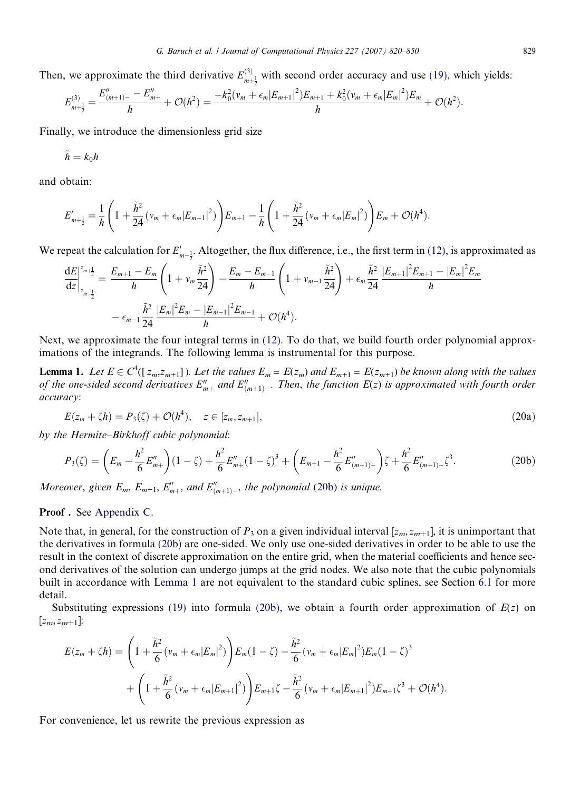<span id="page-9-0"></span>Then, we approximate the third derivative  $E_{m+\frac{1}{2}}^{(3)}$  with second order accuracy and use [\(19\),](#page-1-0) which yields:

$$
E_{m+\frac{1}{2}}^{(3)} = \frac{E_{(m+1)-}'' - E_{m+}''}{h} + \mathcal{O}(h^2) = \frac{-k_0^2(v_m + \epsilon_m |E_{m+1}|^2)E_{m+1} + k_0^2(v_m + \epsilon_m |E_m|^2)E_m}{h} + \mathcal{O}(h^2).
$$

Finally, we introduce the dimensionless grid size

$$
\tilde{h}=k_0h
$$

and obtain:

$$
E'_{m+\frac{1}{2}} = \frac{1}{h} \left( 1 + \frac{\tilde{h}^2}{24} (v_m + \epsilon_m |E_{m+1}|^2) \right) E_{m+1} - \frac{1}{h} \left( 1 + \frac{\tilde{h}^2}{24} (v_m + \epsilon_m |E_m|^2) \right) E_m + \mathcal{O}(h^4).
$$

We repeat the calculation for  $E_{m-\frac{1}{2}}'$ . Altogether, the flux difference, i.e., the first term in [\(12\)](#page-5-0), is approximated as

$$
\frac{dE\Big|_{z_{m-\frac{1}{2}}}^{z_{m+\frac{1}{2}}} = \frac{E_{m+1} - E_m}{h} \left(1 + v_m \frac{\tilde{h}^2}{24}\right) - \frac{E_m - E_{m-1}}{h} \left(1 + v_{m-1} \frac{\tilde{h}^2}{24}\right) + \epsilon_m \frac{\tilde{h}^2}{24} \frac{|E_{m+1}|^2 E_{m+1} - |E_m|^2 E_m}{h}
$$

$$
- \epsilon_{m-1} \frac{\tilde{h}^2}{24} \frac{|E_m|^2 E_m - |E_{m-1}|^2 E_{m-1}}{h} + \mathcal{O}(h^4).
$$

Next, we approximate the four integral terms in [\(12\)](#page-5-0). To do that, we build fourth order polynomial approximations of the integrands. The following lemma is instrumental for this purpose.

**Lemma 1.** Let  $E \in C^4([z_m, z_{m+1}])$ . Let the values  $E_m = E(z_m)$  and  $E_{m+1} = E(z_{m+1})$  be known along with the values of the one-sided second derivatives  $E''_{m+}$  and  $E''_{(m+1)-}$ . Then, the function  $E(z)$  is approximated with fourth order accuracy:

$$
E(z_m + \zeta h) = P_3(\zeta) + \mathcal{O}(h^4), \quad z \in [z_m, z_{m+1}],
$$
\n(20a)

by the Hermite–Birkhoff cubic polynomial:

$$
P_3(\zeta) = \left(E_m - \frac{h^2}{6} E_{m+}''\right) (1 - \zeta) + \frac{h^2}{6} E_{m+}'' (1 - \zeta)^3 + \left(E_{m+1} - \frac{h^2}{6} E_{(m+1)-}''\right) \zeta + \frac{h^2}{6} E_{(m+1)-}''\zeta^3. \tag{20b}
$$

Moreover, given  $E_m$ ,  $E_{m+1}$ ,  $E_{m+}''$ , and  $E_{(m+1)-}''$ , the polynomial (20b) is unique.

# Proof . See Appendix C.

Note that, in general, for the construction of  $P_3$  on a given individual interval  $[z_m, z_{m+1}]$ , it is unimportant that the derivatives in formula (20b) are one-sided. We only use one-sided derivatives in order to be able to use the result in the context of discrete approximation on the entire grid, when the material coefficients and hence second derivatives of the solution can undergo jumps at the grid nodes. We also note that the cubic polynomials built in accordance with Lemma 1 are not equivalent to the standard cubic splines, see Section [6.1](#page-23-0) for more detail.

Substituting expressions [\(19\)](#page-1-0) into formula (20b), we obtain a fourth order approximation of  $E(z)$  on  $[z_m, z_{m+1}]$ :

$$
E(z_m + \zeta h) = \left(1 + \frac{\tilde{h}^2}{6}(v_m + \epsilon_m |E_m|^2)\right) E_m(1 - \zeta) - \frac{\tilde{h}^2}{6}(v_m + \epsilon_m |E_m|^2) E_m(1 - \zeta)^3
$$
  
+ 
$$
\left(1 + \frac{\tilde{h}^2}{6}(v_m + \epsilon_m |E_{m+1}|^2)\right) E_{m+1}\zeta - \frac{\tilde{h}^2}{6}(v_m + \epsilon_m |E_{m+1}|^2) E_{m+1}\zeta^3 + \mathcal{O}(h^4).
$$

For convenience, let us rewrite the previous expression as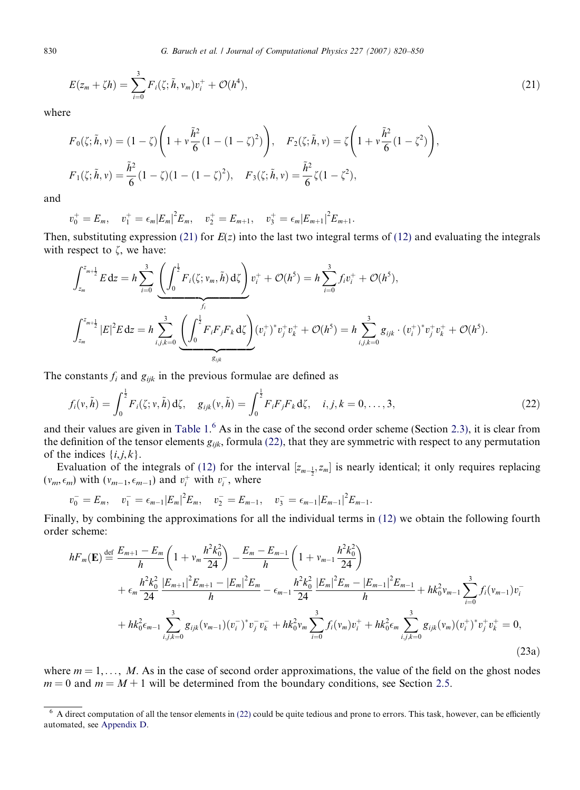$$
E(z_m + \zeta h) = \sum_{i=0}^{3} F_i(\zeta; \tilde{h}, v_m) v_i^+ + \mathcal{O}(h^4), \tag{21}
$$

where

$$
F_0(\zeta; \tilde{h}, v) = (1 - \zeta) \left( 1 + v \frac{\tilde{h}^2}{6} (1 - (1 - \zeta)^2) \right), \quad F_2(\zeta; \tilde{h}, v) = \zeta \left( 1 + v \frac{\tilde{h}^2}{6} (1 - \zeta^2) \right),
$$
  

$$
F_1(\zeta; \tilde{h}, v) = \frac{\tilde{h}^2}{6} (1 - \zeta) (1 - (1 - \zeta)^2), \quad F_3(\zeta; \tilde{h}, v) = \frac{\tilde{h}^2}{6} \zeta (1 - \zeta^2),
$$

and

$$
v_0^+ = E_m
$$
,  $v_1^+ = \epsilon_m |E_m|^2 E_m$ ,  $v_2^+ = E_{m+1}$ ,  $v_3^+ = \epsilon_m |E_{m+1}|^2 E_{m+1}$ .

Then, substituting expression (21) for  $E(z)$  into the last two integral terms of [\(12\)](#page-5-0) and evaluating the integrals with respect to  $\zeta$ , we have:

$$
\int_{z_m}^{z_{m+\frac{1}{2}}} E \, dz = h \sum_{i=0}^3 \underbrace{\left( \int_0^{\frac{1}{2}} F_i(\zeta; v_m, \tilde{h}) \, d\zeta \right)}_{f_i} v_i^+ + \mathcal{O}(h^5) = h \sum_{i=0}^3 f_i v_i^+ + \mathcal{O}(h^5),
$$
\n
$$
\int_{z_m}^{z_{m+\frac{1}{2}}} |E|^2 E \, dz = h \sum_{i,j,k=0}^3 \underbrace{\left( \int_0^{\frac{1}{2}} F_i F_j F_k \, d\zeta \right)}_{g_{ijk}} (v_i^+)^* v_j^+ v_k^+ + \mathcal{O}(h^5) = h \sum_{i,j,k=0}^3 g_{ijk} \cdot (v_i^+)^* v_j^+ v_k^+ + \mathcal{O}(h^5).
$$

The constants  $f_i$  and  $g_{ijk}$  in the previous formulae are defined as

$$
f_i(v,\tilde{h}) = \int_0^{\frac{1}{2}} F_i(\zeta; v, \tilde{h}) d\zeta, \quad g_{ijk}(v, \tilde{h}) = \int_0^{\frac{1}{2}} F_i F_j F_k d\zeta, \quad i, j, k = 0, \dots, 3,
$$
 (22)

and their values are given in [Table 1](#page-11-0).<sup>6</sup> As in the case of the second order scheme (Section [2.3\),](#page-7-0) it is clear from the definition of the tensor elements  $g_{ijk}$ , formula (22), that they are symmetric with respect to any permutation of the indices  $\{i,j,k\}$ .

Evaluation of the integrals of [\(12\)](#page-5-0) for the interval  $[z_{m-1}, z_m]$  is nearly identical; it only requires replacing  $(v_m, \epsilon_m)$  with  $(v_{m-1}, \epsilon_{m-1})$  and  $v_i^+$  with  $v_i^-$ , where

$$
v_0^- = E_m
$$
,  $v_1^- = \epsilon_{m-1} |E_m|^2 E_m$ ,  $v_2^- = E_{m-1}$ ,  $v_3^- = \epsilon_{m-1} |E_{m-1}|^2 E_{m-1}$ .

Finally, by combining the approximations for all the individual terms in [\(12\)](#page-5-0) we obtain the following fourth order scheme:

$$
hF_m(\mathbf{E}) \stackrel{\text{def}}{=} \frac{E_{m+1} - E_m}{h} \left( 1 + v_m \frac{h^2 k_0^2}{24} \right) - \frac{E_m - E_{m-1}}{h} \left( 1 + v_{m-1} \frac{h^2 k_0^2}{24} \right)
$$
  
+  $\epsilon_m \frac{h^2 k_0^2}{24} \frac{|E_{m+1}|^2 E_{m+1} - |E_m|^2 E_m}{h} - \epsilon_{m-1} \frac{h^2 k_0^2}{24} \frac{|E_m|^2 E_m - |E_{m-1}|^2 E_{m-1}}{h} + hk_0^2 v_{m-1} \sum_{i=0}^3 f_i(v_{m-1}) v_i^- + hk_0^2 \epsilon_{m-1} \sum_{i,j,k=0}^3 g_{ijk}(v_{m-1}) (v_i^-)^* v_j^- v_k^- + hk_0^2 v_m \sum_{i=0}^3 f_i(v_m) v_i^+ + hk_0^2 \epsilon_m \sum_{i,j,k=0}^3 g_{ijk}(v_m) (v_i^+)^* v_j^+ v_k^+ = 0,$   
(23a)

where  $m = 1, \ldots, M$ . As in the case of second order approximations, the value of the field on the ghost nodes  $m = 0$  and  $m = M + 1$  will be determined from the boundary conditions, see Section [2.5](#page-12-0).

<span id="page-10-0"></span>

 $6$  A direct computation of all the tensor elements in (22) could be quite tedious and prone to errors. This task, however, can be efficiently automated, see Appendix D.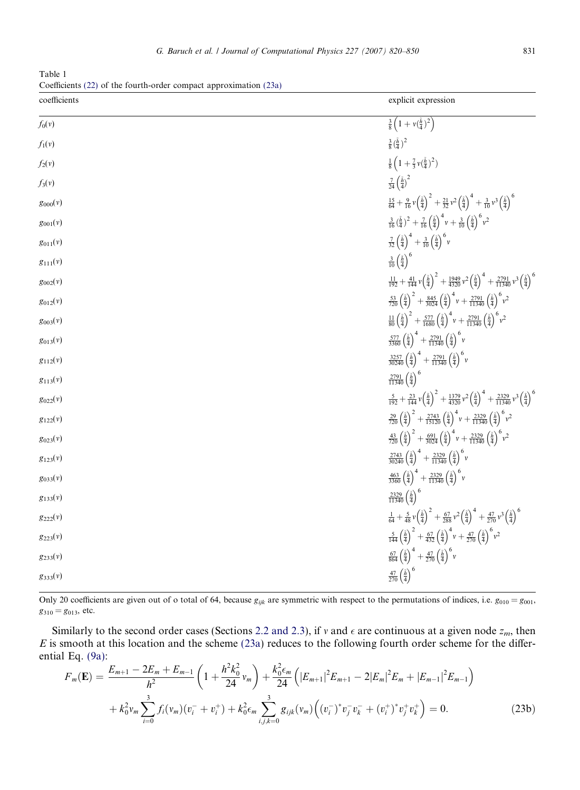<span id="page-11-0"></span>Table 1 Coefficients [\(22\)](#page-10-0) of the fourth-order compact approximation [\(23a\)](#page-10-0)

| coefficients | explicit expression                                                                                                                                                                           |  |  |
|--------------|-----------------------------------------------------------------------------------------------------------------------------------------------------------------------------------------------|--|--|
| $f_0(v)$     | $rac{3}{8}\left(1+\sqrt{\frac{\tilde{h}}{4}})^2\right)$                                                                                                                                       |  |  |
| $f_1(v)$     | $\frac{3}{8}(\frac{\tilde{h}}{4})^2$                                                                                                                                                          |  |  |
| $f_2(v)$     | $rac{1}{8}\left(1+\frac{7}{3}\nu(\frac{\tilde{h}}{4})^2\right)$                                                                                                                               |  |  |
| $f_3(v)$     | $rac{7}{24}$ $\left(\frac{\tilde{h}}{4}\right)^2$                                                                                                                                             |  |  |
| $g_{000}(v)$ | $\frac{15}{64} + \frac{9}{16} \nu \left(\frac{\tilde{h}}{4}\right)^2 + \frac{21}{32} \nu^2 \left(\frac{\tilde{h}}{4}\right)^4 + \frac{3}{10} \nu^3 \left(\frac{\tilde{h}}{4}\right)^6$        |  |  |
| $g_{001}(v)$ | $\frac{3}{16}(\frac{\tilde{h}}{4})^2 + \frac{7}{16}(\frac{\tilde{h}}{4})^4 v + \frac{3}{10}(\frac{\tilde{h}}{4})^6 v^2$                                                                       |  |  |
| $g_{011}(v)$ | $\frac{7}{32}\left(\frac{\tilde{h}}{4}\right)^4+\frac{3}{10}\left(\frac{\tilde{h}}{4}\right)^6v$                                                                                              |  |  |
| $g_{111}(v)$ | $rac{3}{10}$ $\left(\frac{\tilde{h}}{4}\right)^6$                                                                                                                                             |  |  |
| $g_{002}(v)$ | $\frac{11}{192} + \frac{41}{144}\nu\left(\frac{\tilde{h}}{4}\right)^2 + \frac{1949}{4320}\nu^2\left(\frac{\tilde{h}}{4}\right)^4 + \frac{2791}{11340}\nu^3\left(\frac{\tilde{h}}{4}\right)^6$ |  |  |
| $g_{012}(v)$ | $\frac{53}{720}\left(\frac{\tilde{h}}{4}\right)^2 + \frac{845}{3024}\left(\frac{\tilde{h}}{4}\right)^4 v + \frac{2791}{11340}\left(\frac{\tilde{h}}{4}\right)^6 v^2$                          |  |  |
| $g_{003}(v)$ | $\frac{11}{80} \left(\frac{\tilde{h}}{4}\right)^2 + \frac{577}{1680} \left(\frac{\tilde{h}}{4}\right)^4 v + \frac{2791}{11340} \left(\frac{\tilde{h}}{4}\right)^6 v^2$                        |  |  |
| $g_{013}(v)$ | $rac{577}{3360}\left(\frac{\tilde{h}}{4}\right)^4 + \frac{2791}{11340}\left(\frac{\tilde{h}}{4}\right)^6 v$                                                                                   |  |  |
| $g_{112}(v)$ | $\frac{3257}{30240}\left(\frac{\tilde{h}}{4}\right)^4 + \frac{2791}{11340}\left(\frac{\tilde{h}}{4}\right)^6 v$                                                                               |  |  |
| $g_{113}(v)$ | $\frac{2791}{11340}\left(\frac{\tilde{h}}{4}\right)^6$                                                                                                                                        |  |  |
| $g_{022}(v)$ | $\frac{5}{192}+\frac{23}{144}\nu\left(\frac{\tilde{h}}{4}\right)^2+\frac{1379}{4320}\nu^2\left(\frac{\tilde{h}}{4}\right)^4+\frac{2329}{11340}\nu^3\left(\frac{\tilde{h}}{4}\right)^6$        |  |  |
| $g_{122}(v)$ | $\frac{29}{720}\left(\frac{\tilde{h}}{4}\right)^2 + \frac{2743}{15120}\left(\frac{\tilde{h}}{4}\right)^4 v + \frac{2329}{11340}\left(\frac{\tilde{h}}{4}\right)^6 v^2$                        |  |  |
| $g_{023}(v)$ | $\frac{43}{720}\left(\frac{\tilde{h}}{4}\right)^2 + \frac{691}{3024}\left(\frac{\tilde{h}}{4}\right)^4 v + \frac{2329}{11340}\left(\frac{\tilde{h}}{4}\right)^6 v^2$                          |  |  |
| $g_{123}(v)$ | $\frac{2743}{30240}\left(\frac{\tilde{h}}{4}\right)^4 + \frac{2329}{11340}\left(\frac{\tilde{h}}{4}\right)^6 v$                                                                               |  |  |
| $g_{033}(v)$ | $\frac{463}{3360}\left(\frac{\tilde{h}}{4}\right)^4+\frac{2329}{11340}\left(\frac{\tilde{h}}{4}\right)^6 v$                                                                                   |  |  |
| $g_{133}(v)$ | $\frac{2329}{11340}\left(\frac{\tilde{h}}{4}\right)^6$                                                                                                                                        |  |  |
| $g_{222}(v)$ | $\frac{1}{64}+\frac{5}{48}v\left(\frac{\tilde{h}}{4}\right)^2+\frac{67}{288}v^2\left(\frac{\tilde{h}}{4}\right)^4+\frac{47}{270}v^3\left(\frac{\tilde{h}}{4}\right)^6$                        |  |  |
| $g_{223}(v)$ | $\frac{5}{144}\left(\frac{\tilde{h}}{4}\right)^2+\frac{67}{432}\left(\frac{\tilde{h}}{4}\right)^4v+\frac{47}{270}\left(\frac{\tilde{h}}{4}\right)^6v^2$                                       |  |  |
| $g_{233}(v)$ | $\frac{67}{864}\left(\frac{\tilde{h}}{4}\right)^4+\frac{47}{270}\left(\frac{\tilde{h}}{4}\right)^6v$                                                                                          |  |  |
| $g_{333}(v)$ | $\frac{47}{270}\left(\frac{\tilde{h}}{4}\right)^6$                                                                                                                                            |  |  |

Only 20 coefficients are given out of o total of 64, because  $g_{ijk}$  are symmetric with respect to the permutations of indices, i.e.  $g_{010} = g_{001}$ ,  $g_{310} = g_{013}$ , etc.

Similarly to the second order cases (Sections [2.2 and 2.3](#page-6-0)), if v and  $\epsilon$  are continuous at a given node  $z_m$ , then  $E$  is smooth at this location and the scheme [\(23a\)](#page-10-0) reduces to the following fourth order scheme for the differential Eq. [\(9a\):](#page-4-0)

$$
F_m(\mathbf{E}) = \frac{E_{m+1} - 2E_m + E_{m-1}}{h^2} \left( 1 + \frac{h^2 k_0^2}{24} v_m \right) + \frac{k_0^2 \epsilon_m}{24} \left( |E_{m+1}|^2 E_{m+1} - 2|E_m|^2 E_m + |E_{m-1}|^2 E_{m-1} \right) + k_0^2 v_m \sum_{i=0}^3 f_i(v_m) (v_i^- + v_i^+) + k_0^2 \epsilon_m \sum_{i,j,k=0}^3 g_{ijk}(v_m) \left( (v_i^-)^* v_j^- v_k^- + (v_i^+)^* v_j^+ v_k^+ \right) = 0.
$$
 (23b)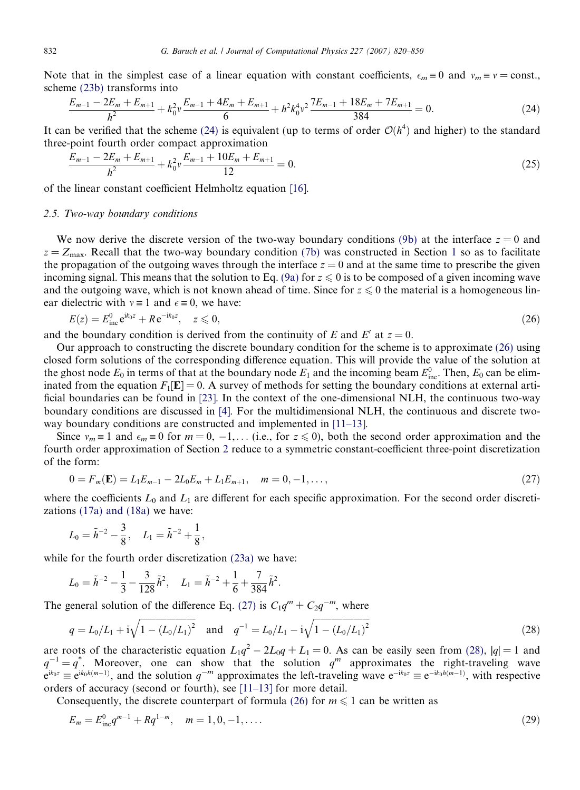<span id="page-12-0"></span>Note that in the simplest case of a linear equation with constant coefficients,  $\epsilon_m \equiv 0$  and  $v_m \equiv v = \text{const.}$ scheme [\(23b\)](#page-11-0) transforms into

$$
\frac{E_{m-1} - 2E_m + E_{m+1}}{h^2} + k_0^2 \nu \frac{E_{m-1} + 4E_m + E_{m+1}}{6} + h^2 k_0^4 \nu^2 \frac{7E_{m-1} + 18E_m + 7E_{m+1}}{384} = 0. \tag{24}
$$

It can be verified that the scheme (24) is equivalent (up to terms of order  $\mathcal{O}(h^4)$  and higher) to the standard three-point fourth order compact approximation

$$
\frac{E_{m-1} - 2E_m + E_{m+1}}{h^2} + k_0^2 v \frac{E_{m-1} + 10E_m + E_{m+1}}{12} = 0.
$$
\n(25)

of the linear constant coefficient Helmholtz equation [\[16\]](#page-30-0).

### 2.5. Two-way boundary conditions

We now derive the discrete version of the two-way boundary conditions [\(9b\)](#page-5-0) at the interface  $z = 0$  and  $z = Z_{\text{max}}$ . Recall that the two-way boundary condition [\(7b\)](#page-2-0) was constructed in Section [1](#page-1-0) so as to facilitate the propagation of the outgoing waves through the interface  $z = 0$  and at the same time to prescribe the given incoming signal. This means that the solution to Eq. [\(9a\)](#page-4-0) for  $z \le 0$  is to be composed of a given incoming wave and the outgoing wave, which is not known ahead of time. Since for  $z \leq 0$  the material is a homogeneous linear dielectric with  $v \equiv 1$  and  $\epsilon \equiv 0$ , we have:

$$
E(z) = E_{\text{inc}}^0 e^{ik_0 z} + R e^{-ik_0 z}, \quad z \le 0,
$$
\n(26)

and the boundary condition is derived from the continuity of E and E' at  $z = 0$ .

Our approach to constructing the discrete boundary condition for the scheme is to approximate (26) using closed form solutions of the corresponding difference equation. This will provide the value of the solution at the ghost node  $E_0$  in terms of that at the boundary node  $E_1$  and the incoming beam  $E_{\text{inc}}^0$ . Then,  $E_0$  can be eliminated from the equation  $F_1[\mathbf{E}] = 0$ . A survey of methods for setting the boundary conditions at external artificial boundaries can be found in [\[23\]](#page-30-0). In the context of the one-dimensional NLH, the continuous two-way boundary conditions are discussed in [\[4\].](#page-29-0) For the multidimensional NLH, the continuous and discrete two-way boundary conditions are constructed and implemented in [\[11–13\].](#page-30-0)

Since  $v_m \equiv 1$  and  $\epsilon_m \equiv 0$  for  $m = 0, -1,...$  (i.e., for  $z \le 0$ ), both the second order approximation and the fourth order approximation of Section [2](#page-5-0) reduce to a symmetric constant-coefficient three-point discretization of the form:

$$
0 = F_m(\mathbf{E}) = L_1 E_{m-1} - 2L_0 E_m + L_1 E_{m+1}, \quad m = 0, -1, \dots,
$$
\n(27)

where the coefficients  $L_0$  and  $L_1$  are different for each specific approximation. For the second order discretizations [\(17a\) and \(18a\)](#page-6-0) we have:

$$
L_0 = \tilde{h}^{-2} - \frac{3}{8}, \quad L_1 = \tilde{h}^{-2} + \frac{1}{8},
$$

while for the fourth order discretization [\(23a\)](#page-10-0) we have:

$$
L_0 = \tilde{h}^{-2} - \frac{1}{3} - \frac{3}{128} \tilde{h}^2, \quad L_1 = \tilde{h}^{-2} + \frac{1}{6} + \frac{7}{384} \tilde{h}^2.
$$

The general solution of the difference Eq. (27) is  $C_1q^m + C_2q^{-m}$ , where

$$
q = L_0/L_1 + i\sqrt{1 - (L_0/L_1)^2} \quad \text{and} \quad q^{-1} = L_0/L_1 - i\sqrt{1 - (L_0/L_1)^2}
$$
 (28)

are roots of the characteristic equation  $L_1q^2 - 2L_0q + L_1 = 0$ . As can be easily seen from (28),  $|q| = 1$  and  $q^{-1} = q^*$ . Moreover, one can show that the solution  $q^m$  approximates the right-traveling wave  $e^{ik_0z} \equiv e^{ik_0h(m-1)}$ , and the solution  $q^{-m}$  approximates the left-traveling wave  $e^{-ik_0z} \equiv e^{-ik_0h(m-1)}$ , with respective orders of accuracy (second or fourth), see [\[11–13\]](#page-30-0) for more detail.

Consequently, the discrete counterpart of formula (26) for  $m \leq 1$  can be written as

$$
E_m = E_{\text{inc}}^0 q^{m-1} + Rq^{1-m}, \quad m = 1, 0, -1, \dots
$$
\n(29)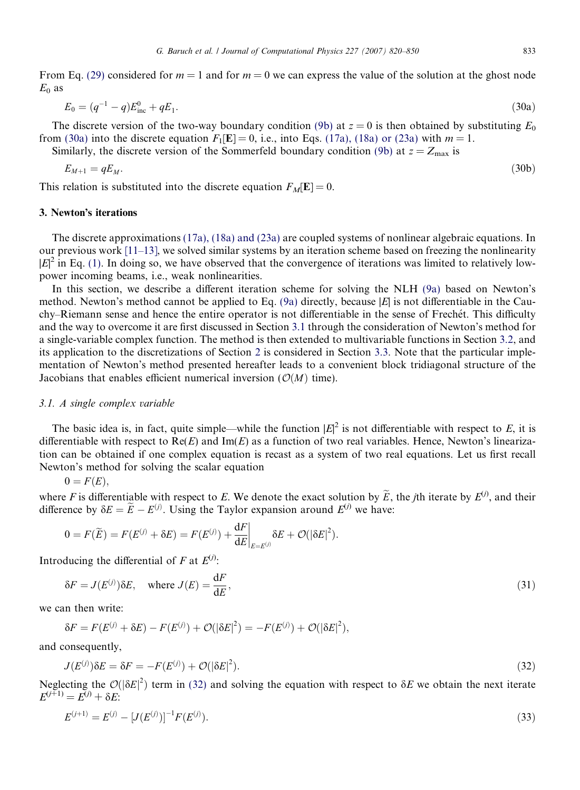<span id="page-13-0"></span>From Eq. [\(29\)](#page-12-0) considered for  $m = 1$  and for  $m = 0$  we can express the value of the solution at the ghost node  $E_0$  as

$$
E_0 = (q^{-1} - q)E_{\text{inc}}^0 + qE_1. \tag{30a}
$$

The discrete version of the two-way boundary condition [\(9b\)](#page-5-0) at  $z = 0$  is then obtained by substituting  $E_0$ from (30a) into the discrete equation  $F_1[\mathbf{E}] = 0$ , i.e., into Eqs. [\(17a\), \(18a\) or \(23a\)](#page-6-0) with  $m = 1$ .

Similarly, the discrete version of the Sommerfeld boundary condition [\(9b\)](#page-5-0) at  $z = Z_{\text{max}}$  is

$$
E_{M+1} = qE_M. \tag{30b}
$$

This relation is substituted into the discrete equation  $F_M[\mathbf{E}] = 0$ .

## 3. Newton's iterations

The discrete approximations [\(17a\), \(18a\) and \(23a\)](#page-6-0) are coupled systems of nonlinear algebraic equations. In our previous work [\[11–13\],](#page-30-0) we solved similar systems by an iteration scheme based on freezing the nonlinearity  $|E|^2$  in Eq. [\(1\).](#page-1-0) In doing so, we have observed that the convergence of iterations was limited to relatively lowpower incoming beams, i.e., weak nonlinearities.

In this section, we describe a different iteration scheme for solving the NLH [\(9a\)](#page-4-0) based on Newton's method. Newton's method cannot be applied to Eq. [\(9a\)](#page-4-0) directly, because  $|E|$  is not differentiable in the Cauchy–Riemann sense and hence the entire operator is not differentiable in the sense of Frechet. This difficulty and the way to overcome it are first discussed in Section 3.1 through the consideration of Newton's method for a single-variable complex function. The method is then extended to multivariable functions in Section [3.2,](#page-15-0) and its application to the discretizations of Section [2](#page-5-0) is considered in Section [3.3](#page-16-0). Note that the particular implementation of Newton's method presented hereafter leads to a convenient block tridiagonal structure of the Jacobians that enables efficient numerical inversion  $(\mathcal{O}(M)$  time).

#### 3.1. A single complex variable

The basic idea is, in fact, quite simple—while the function  $|E|^2$  is not differentiable with respect to E, it is differentiable with respect to  $Re(E)$  and  $Im(E)$  as a function of two real variables. Hence, Newton's linearization can be obtained if one complex equation is recast as a system of two real equations. Let us first recall Newton's method for solving the scalar equation

$$
0=F(E),
$$

where F is differentiable with respect to E. We denote the exact solution by  $\widetilde{E}$ , the *j*th iterate by  $E^{(j)}$ , and their difference by  $\delta E = \widetilde{E} - E^{(j)}$ . Using the Taylor expansion around  $E^{(j)}$  we have:

$$
0 = F(\widetilde{E}) = F(E^{(j)} + \delta E) = F(E^{(j)}) + \frac{dF}{dE}\bigg|_{E=E^{(j)}} \delta E + \mathcal{O}(|\delta E|^2).
$$

Introducing the differential of F at  $E^{(j)}$ :

$$
\delta F = J(E^{(j)}) \delta E, \quad \text{where } J(E) = \frac{\mathrm{d} F}{\mathrm{d} E},\tag{31}
$$

we can then write:

$$
\delta F = F(E^{(j)} + \delta E) - F(E^{(j)}) + \mathcal{O}(|\delta E|^2) = -F(E^{(j)}) + \mathcal{O}(|\delta E|^2),
$$

and consequently,

$$
J(E^{(j)})\delta E = \delta F = -F(E^{(j)}) + \mathcal{O}(|\delta E|^2). \tag{32}
$$

Neglecting the  $\mathcal{O}(|\delta E|^2)$  term in (32) and solving the equation with respect to  $\delta E$  we obtain the next iterate  $E^{(j+1)} = E^{(j)} + \delta E$ 

$$
E^{(j+1)} = E^{(j)} - [J(E^{(j)})]^{-1} F(E^{(j)}).
$$
\n(33)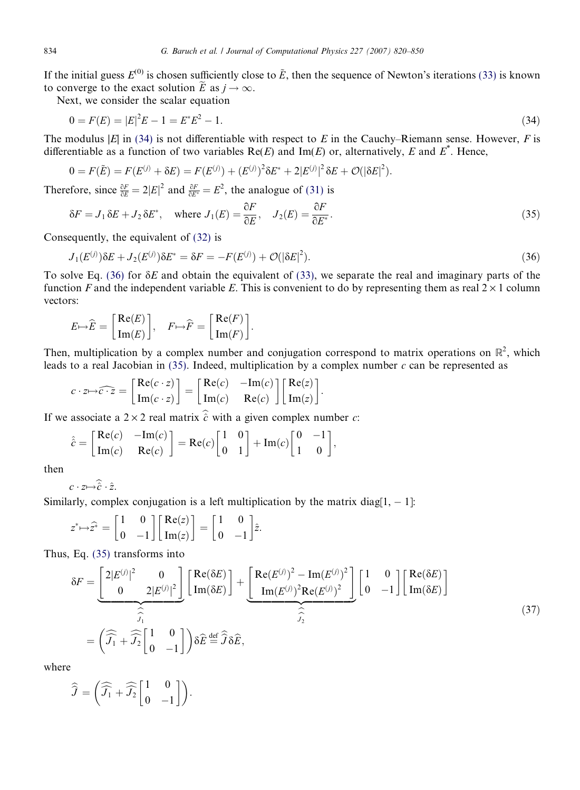<span id="page-14-0"></span>If the initial guess  $E^{(0)}$  is chosen sufficiently close to  $\tilde{E}$ , then the sequence of Newton's iterations [\(33\)](#page-13-0) is known to converge to the exact solution  $\widetilde{E}$  as  $j \to \infty$ .

Next, we consider the scalar equation

$$
0 = F(E) = |E|^2 E - 1 = E^* E^2 - 1.
$$
\n(34)

The modulus  $|E|$  in (34) is not differentiable with respect to E in the Cauchy–Riemann sense. However, F is differentiable as a function of two variables  $\text{Re}(E)$  and  $\text{Im}(E)$  or, alternatively, E and  $E^*$ . Hence,

$$
0 = F(\tilde{E}) = F(E^{(j)} + \delta E) = F(E^{(j)}) + (E^{(j)})^2 \delta E^* + 2|E^{(j)}|^2 \delta E + \mathcal{O}(|\delta E|^2).
$$

Therefore, since  $\frac{\partial F}{\partial E} = 2|E|^2$  and  $\frac{\partial F}{\partial E^*} = E^2$ , the analogue of [\(31\)](#page-13-0) is

$$
\delta F = J_1 \delta E + J_2 \delta E^*, \quad \text{where } J_1(E) = \frac{\partial F}{\partial E}, \quad J_2(E) = \frac{\partial F}{\partial E^*}.
$$
 (35)

Consequently, the equivalent of [\(32\)](#page-13-0) is

$$
J_1(E^{(j)})\delta E + J_2(E^{(j)})\delta E^* = \delta F = -F(E^{(j)}) + \mathcal{O}(|\delta E|^2). \tag{36}
$$

To solve Eq. (36) for  $\delta E$  and obtain the equivalent of [\(33\)](#page-13-0), we separate the real and imaginary parts of the function F and the independent variable E. This is convenient to do by representing them as real  $2 \times 1$  column vectors:

$$
E \mapsto \widehat{E} = \begin{bmatrix} \text{Re}(E) \\ \text{Im}(E) \end{bmatrix}, \quad F \mapsto \widehat{F} = \begin{bmatrix} \text{Re}(F) \\ \text{Im}(F) \end{bmatrix}
$$

Then, multiplication by a complex number and conjugation correspond to matrix operations on  $\mathbb{R}^2$ , which leads to a real Jacobian in (35). Indeed, multiplication by a complex number c can be represented as

:

$$
c \cdot z \mapsto \widehat{c \cdot z} = \begin{bmatrix} \text{Re}(c \cdot z) \\ \text{Im}(c \cdot z) \end{bmatrix} = \begin{bmatrix} \text{Re}(c) & -\text{Im}(c) \\ \text{Im}(c) & \text{Re}(c) \end{bmatrix} \begin{bmatrix} \text{Re}(z) \\ \text{Im}(z) \end{bmatrix}.
$$

If we associate a  $2 \times 2$  real matrix  $\hat{c}$  with a given complex number c:

$$
\hat{c} = \begin{bmatrix} \text{Re}(c) & -\text{Im}(c) \\ \text{Im}(c) & \text{Re}(c) \end{bmatrix} = \text{Re}(c) \begin{bmatrix} 1 & 0 \\ 0 & 1 \end{bmatrix} + \text{Im}(c) \begin{bmatrix} 0 & -1 \\ 1 & 0 \end{bmatrix},
$$

then

$$
c\cdot z \mapsto \widehat{\hat{c}}\cdot \hat{z}.
$$

Similarly, complex conjugation is a left multiplication by the matrix diag[1,  $-1$ ]:

$$
z^* \mapsto \widehat{z^*} = \begin{bmatrix} 1 & 0 \\ 0 & -1 \end{bmatrix} \begin{bmatrix} \text{Re}(z) \\ \text{Im}(z) \end{bmatrix} = \begin{bmatrix} 1 & 0 \\ 0 & -1 \end{bmatrix} \hat{z}.
$$

Thus, Eq. (35) transforms into

$$
\delta F = \underbrace{\begin{bmatrix} 2|E^{(j)}|^2 & 0 \\ 0 & 2|E^{(j)}|^2 \end{bmatrix}}_{\widehat{j_1}} \underbrace{\begin{bmatrix} \text{Re}(\delta E) \\ \text{Im}(\delta E) \end{bmatrix}}_{\widehat{j_2}} + \underbrace{\begin{bmatrix} \text{Re}(E^{(j)})^2 - \text{Im}(E^{(j)})^2 \\ \text{Im}(E^{(j)})^2 \text{Re}(E^{(j)})^2 \end{bmatrix}}_{\widehat{j_2}} \underbrace{\begin{bmatrix} 1 & 0 \\ 0 & -1 \end{bmatrix} \begin{bmatrix} \text{Re}(\delta E) \\ \text{Im}(\delta E) \end{bmatrix}}_{\widehat{j_1}} = \left( \widehat{j_1} + \widehat{j_2} \begin{bmatrix} 1 & 0 \\ 0 & -1 \end{bmatrix} \right) \delta \widehat{E} \stackrel{\text{def}}{=} \widehat{j} \delta \widehat{E}, \tag{37}
$$

where

$$
\widehat{\widehat{J}} = \left( \widehat{\widehat{J}_1} + \widehat{\widehat{J}_2} \begin{bmatrix} 1 & 0 \\ 0 & -1 \end{bmatrix} \right).
$$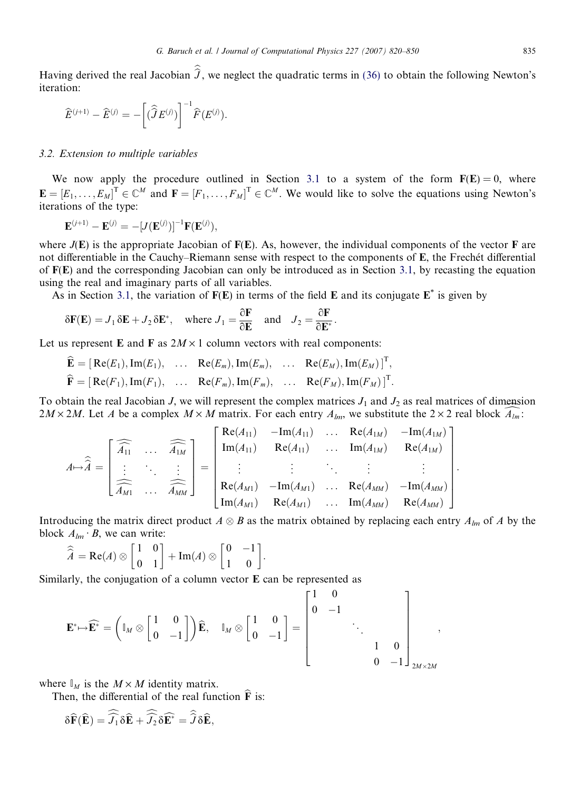<span id="page-15-0"></span>Having derived the real Jacobian  $\hat{J}$ , we neglect the quadratic terms in [\(36\)](#page-14-0) to obtain the following Newton's iteration:

$$
\widehat{E}^{(j+1)} - \widehat{E}^{(j)} = -\left[ \widehat{\left( \widehat{J} E^{(j)} \right)} \right]^{-1} \widehat{F} (E^{(j)}).
$$

## 3.2. Extension to multiple variables

We now apply the procedure outlined in Section [3.1](#page-13-0) to a system of the form  $F(E) = 0$ , where  $\mathbf{E} = [E_1, \dots, E_M]^T \in \mathbb{C}^M$  and  $\mathbf{F} = [F_1, \dots, F_M]^T \in \mathbb{C}^M$ . We would like to solve the equations using Newton's iterations of the type:

$$
\mathbf{E}^{(j+1)} - \mathbf{E}^{(j)} = -[J(\mathbf{E}^{(j)})]^{-1} \mathbf{F}(\mathbf{E}^{(j)}),
$$

where  $J(E)$  is the appropriate Jacobian of  $F(E)$ . As, however, the individual components of the vector F are not differentiable in the Cauchy–Riemann sense with respect to the components of  $E$ , the Freche $t$  differential of  $F(E)$  and the corresponding Jacobian can only be introduced as in Section [3.1,](#page-13-0) by recasting the equation using the real and imaginary parts of all variables.

As in Section [3.1,](#page-13-0) the variation of  $F(E)$  in terms of the field E and its conjugate  $E^*$  is given by

$$
\delta \mathbf{F}(\mathbf{E}) = J_1 \delta \mathbf{E} + J_2 \delta \mathbf{E}^*, \text{ where } J_1 = \frac{\partial \mathbf{F}}{\partial \mathbf{E}} \text{ and } J_2 = \frac{\partial \mathbf{F}}{\partial \mathbf{E}^*}.
$$

Let us represent **E** and **F** as  $2M \times 1$  column vectors with real components:

 $\widehat{\mathbf{E}} = [\text{Re}(E_1), \text{Im}(E_1), \quad \dots \quad \text{Re}(E_m), \text{Im}(E_m), \quad \dots \quad \text{Re}(E_M), \text{Im}(E_M)]^{\text{T}},$  $\widehat{\mathbf{F}} = [\text{Re}(F_1), \text{Im}(F_1), \dots \text{Re}(F_m), \text{Im}(F_m), \dots \text{Re}(F_M), \text{Im}(F_M)]^{\text{T}}.$ 

To obtain the real Jacobian J, we will represent the complex matrices  $J_1$  and  $J_2$  as real matrices of dimension  $2M \times 2M$ . Let A be a complex  $M \times M$  matrix. For each entry  $A_{lm}$ , we substitute the  $2 \times 2$  real block  $A_{lm}$ :

$$
A \mapsto \widehat{\widehat{A}} = \begin{bmatrix} \widehat{\widehat{A}_{11}} & \dots & \widehat{\widehat{A}_{1M}} \\ \vdots & \ddots & \vdots \\ \widehat{\widehat{A_{M1}}} & \dots & \widehat{\widehat{A_{MM}}} \end{bmatrix} = \begin{bmatrix} \text{Re}(A_{11}) & -\text{Im}(A_{11}) & \dots & \text{Re}(A_{1M}) & -\text{Im}(A_{1M}) \\ \text{Im}(A_{11}) & \text{Re}(A_{11}) & \dots & \text{Im}(A_{1M}) & \text{Re}(A_{1M}) \\ \vdots & \vdots & \ddots & \vdots \\ \text{Re}(A_{M1}) & -\text{Im}(A_{M1}) & \dots & \text{Re}(A_{MM}) & -\text{Im}(A_{MM}) \\ \text{Im}(A_{M1}) & \text{Re}(A_{M1}) & \dots & \text{Im}(A_{MM}) & \text{Re}(A_{MM}) \end{bmatrix}.
$$

:

Introducing the matrix direct product  $A \otimes B$  as the matrix obtained by replacing each entry  $A_{lm}$  of A by the block  $A_{lm} \cdot B$ , we can write:

$$
\widehat{\widehat{A}} = \text{Re}(A) \otimes \begin{bmatrix} 1 & 0 \\ 0 & 1 \end{bmatrix} + \text{Im}(A) \otimes \begin{bmatrix} 0 & -1 \\ 1 & 0 \end{bmatrix}
$$

Similarly, the conjugation of a column vector E can be represented as

$$
\mathbf{E}^* \mapsto \widehat{\mathbf{E}^*} = \begin{pmatrix} \mathbb{I}_M \otimes \begin{bmatrix} 1 & 0 \\ 0 & -1 \end{bmatrix} \end{pmatrix} \widehat{\mathbf{E}}, \quad \mathbb{I}_M \otimes \begin{bmatrix} 1 & 0 \\ 0 & -1 \end{bmatrix} = \begin{bmatrix} 1 & 0 \\ 0 & -1 \\ & & \ddots \\ & & & 1 \\ & & & 0 \\ & & & 0 \\ & & & & 0 \end{bmatrix}_{2M \times 2M},
$$

where  $\mathbb{I}_M$  is the  $M \times M$  identity matrix.

Then, the differential of the real function  $\hat{F}$  is:

 $\delta \widehat{\mathbf{F}}(\widehat{\mathbf{E}}) = \widehat{J_1} \delta \widehat{\mathbf{E}} + \widehat{J_2} \delta \widehat{\mathbf{E}^*} = \widehat{\boldsymbol{\mathcal{J}}} \delta \widehat{\mathbf{E}},$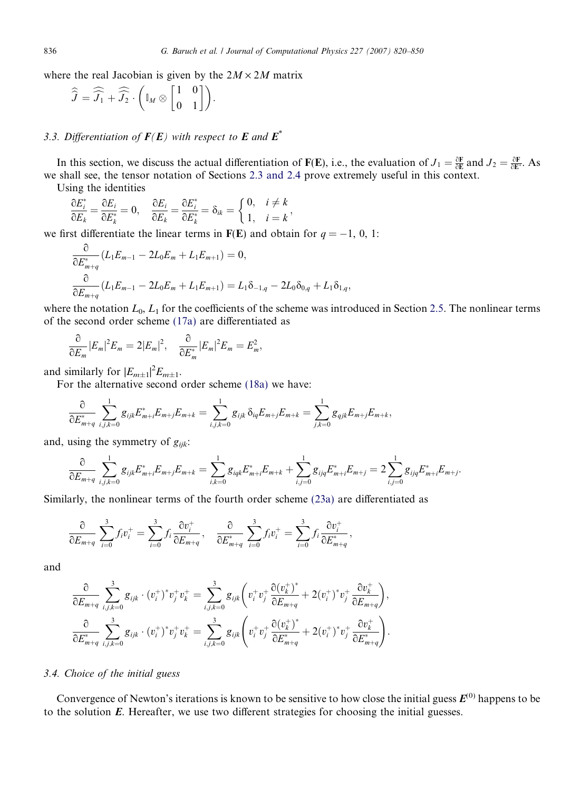where the real Jacobian is given by the  $2M \times 2M$  matrix

$$
\widehat{\widehat{J}}=\widehat{\widehat{J_1}}+\widehat{\widehat{J_2}}\cdot\left(\mathbb{I}_M\otimes\begin{bmatrix}1&0\\0&1\end{bmatrix}\right).
$$

# 3.3. Differentiation of  $F(E)$  with respect to E and  $E^*$

In this section, we discuss the actual differentiation of  $F(E)$ , i.e., the evaluation of  $J_1 = \frac{\partial F}{\partial E}$  and  $J_2 = \frac{\partial F}{\partial E}$ . As we shall see, the tensor notation of Sections [2.3 and 2.4](#page-7-0) prove extremely useful in this context.

Using the identities

o

$$
\frac{\partial E_i^*}{\partial E_k} = \frac{\partial E_i}{\partial E_k^*} = 0, \quad \frac{\partial E_i}{\partial E_k} = \frac{\partial E_i^*}{\partial E_k^*} = \delta_{ik} = \begin{cases} 0, & i \neq k \\ 1, & i = k \end{cases}
$$

we first differentiate the linear terms in  $F(E)$  and obtain for  $q = -1, 0, 1$ :

$$
\frac{\partial}{\partial E_{m+q}} (L_1 E_{m-1} - 2L_0 E_m + L_1 E_{m+1}) = 0,
$$
  

$$
\frac{\partial}{\partial E_{m+q}} (L_1 E_{m-1} - 2L_0 E_m + L_1 E_{m+1}) = L_1 \delta_{-1,q} - 2L_0 \delta_{0,q} + L_1 \delta_{1,q},
$$

where the notation  $L_0$ ,  $L_1$  for the coefficients of the scheme was introduced in Section [2.5](#page-12-0). The nonlinear terms of the second order scheme [\(17a\)](#page-6-0) are differentiated as

$$
\frac{\partial}{\partial E_m}|E_m|^2E_m=2|E_m|^2,\quad \frac{\partial}{\partial E_m^*}|E_m|^2E_m=E_m^2,
$$

and similarly for  $|E_{m\pm 1}|^2 E_{m\pm 1}$ .

For the alternative second order scheme [\(18a\)](#page-8-0) we have:

$$
\frac{\partial}{\partial E^*_{m+q}} \sum_{i,j,k=0}^1 g_{ijk} E^*_{m+i} E_{m+j} E_{m+k} = \sum_{i,j,k=0}^1 g_{ijk} \, \delta_{iq} E_{m+j} E_{m+k} = \sum_{j,k=0}^1 g_{qjk} E_{m+j} E_{m+k},
$$

and, using the symmetry of  $g_{ijk}$ :

$$
\frac{\partial}{\partial E_{m+q}} \sum_{i,j,k=0}^{1} g_{ijk} E_{m+i}^* E_{m+j} E_{m+k} = \sum_{i,k=0}^{1} g_{iqk} E_{m+i}^* E_{m+k} + \sum_{i,j=0}^{1} g_{ijq} E_{m+i}^* E_{m+j} = 2 \sum_{i,j=0}^{1} g_{ijq} E_{m+i}^* E_{m+j}.
$$

Similarly, the nonlinear terms of the fourth order scheme [\(23a\)](#page-10-0) are differentiated as

$$
\frac{\partial}{\partial E_{m+q}} \sum_{i=0}^{3} f_i v_i^+ = \sum_{i=0}^{3} f_i \frac{\partial v_i^+}{\partial E_{m+q}}, \quad \frac{\partial}{\partial E_{m+q}^*} \sum_{i=0}^{3} f_i v_i^+ = \sum_{i=0}^{3} f_i \frac{\partial v_i^+}{\partial E_{m+q}^*},
$$

and

$$
\frac{\partial}{\partial E_{m+q}} \sum_{i,j,k=0}^{3} g_{ijk} \cdot (v_i^+)^* v_j^+ v_k^+ = \sum_{i,j,k=0}^{3} g_{ijk} \left( v_i^+ v_j^+ \frac{\partial (v_k^+)^*}{\partial E_{m+q}} + 2(v_i^+)^* v_j^+ \frac{\partial v_k^+}{\partial E_{m+q}} \right),
$$
  

$$
\frac{\partial}{\partial E_{m+q}} \sum_{i,j,k=0}^{3} g_{ijk} \cdot (v_i^+)^* v_j^+ v_k^+ = \sum_{i,j,k=0}^{3} g_{ijk} \left( v_i^+ v_j^+ \frac{\partial (v_k^+)^*}{\partial E_{m+q}^*} + 2(v_i^+)^* v_j^+ \frac{\partial v_k^+}{\partial E_{m+q}^*} \right).
$$

## 3.4. Choice of the initial guess

Convergence of Newton's iterations is known to be sensitive to how close the initial guess  $E^{(0)}$  happens to be to the solution  $E$ . Hereafter, we use two different strategies for choosing the initial guesses.

<span id="page-16-0"></span>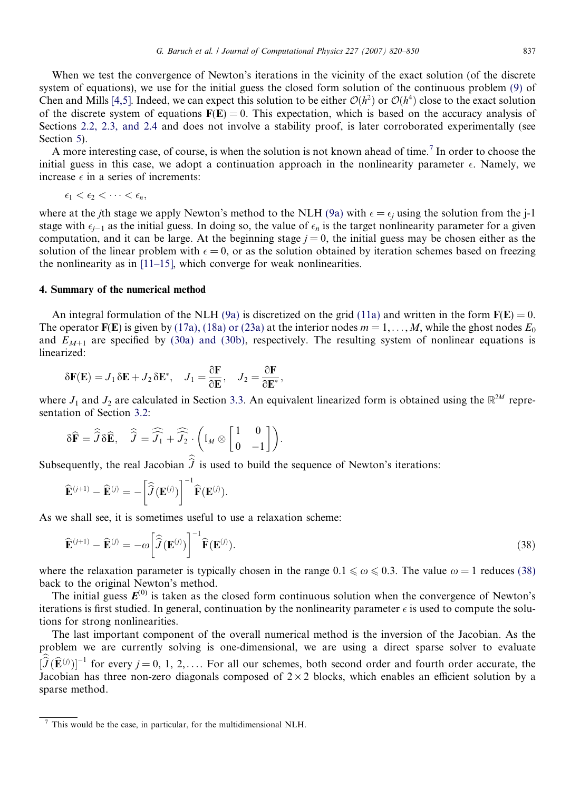<span id="page-17-0"></span>When we test the convergence of Newton's iterations in the vicinity of the exact solution (of the discrete system of equations), we use for the initial guess the closed form solution of the continuous problem [\(9\)](#page-4-0) of Chen and Mills [\[4,5\].](#page-29-0) Indeed, we can expect this solution to be either  $O(h^2)$  or  $O(h^4)$  close to the exact solution of the discrete system of equations  $F(E) = 0$ . This expectation, which is based on the accuracy analysis of Sections [2.2, 2.3, and 2.4](#page-6-0) and does not involve a stability proof, is later corroborated experimentally (see Section [5](#page-18-0)).

A more interesting case, of course, is when the solution is not known ahead of time.<sup>7</sup> In order to choose the initial guess in this case, we adopt a continuation approach in the nonlinearity parameter  $\epsilon$ . Namely, we increase  $\epsilon$  in a series of increments:

$$
\epsilon_1 < \epsilon_2 < \cdots < \epsilon_n,
$$

where at the *j*th stage we apply Newton's method to the NLH [\(9a\)](#page-4-0) with  $\epsilon = \epsilon_j$  using the solution from the j-1 stage with  $\epsilon_{j-1}$  as the initial guess. In doing so, the value of  $\epsilon_n$  is the target nonlinearity parameter for a given computation, and it can be large. At the beginning stage  $j = 0$ , the initial guess may be chosen either as the solution of the linear problem with  $\epsilon = 0$ , or as the solution obtained by iteration schemes based on freezing the nonlinearity as in  $[11-15]$ , which converge for weak nonlinearities.

#### 4. Summary of the numerical method

An integral formulation of the NLH [\(9a\)](#page-4-0) is discretized on the grid [\(11a\)](#page-5-0) and written in the form  $F(E) = 0$ . The operator  $F(E)$  is given by [\(17a\), \(18a\) or \(23a\)](#page-6-0) at the interior nodes  $m = 1, \ldots, M$ , while the ghost nodes  $E_0$ and  $E_{M+1}$  are specified by [\(30a\) and \(30b\)](#page-13-0), respectively. The resulting system of nonlinear equations is linearized:

$$
\delta \mathbf{F}(\mathbf{E}) = J_1 \delta \mathbf{E} + J_2 \delta \mathbf{E}^*, \quad J_1 = \frac{\partial \mathbf{F}}{\partial \mathbf{E}}, \quad J_2 = \frac{\partial \mathbf{F}}{\partial \mathbf{E}^*},
$$

where  $J_1$  and  $J_2$  are calculated in Section [3.3](#page-16-0). An equivalent linearized form is obtained using the  $\mathbb{R}^{2M}$  representation of Section [3.2:](#page-15-0)

$$
\delta \widehat{\mathbf{F}} = \widehat{\widehat{J}} \delta \widehat{\mathbf{E}}, \quad \widehat{\widehat{J}} = \widehat{\widehat{J}_1} + \widehat{\widehat{J}_2} \cdot \left( \mathbb{I}_M \otimes \begin{bmatrix} 1 & 0 \\ 0 & -1 \end{bmatrix} \right).
$$

Subsequently, the real Jacobian  $\hat{J}$  is used to build the sequence of Newton's iterations:

$$
\widehat{\mathbf{E}}^{(j+1)} - \widehat{\mathbf{E}}^{(j)} = -\left[\widehat{\widehat{J}}\left(\mathbf{E}^{(j)}\right)\right]^{-1} \widehat{\mathbf{F}}\left(\mathbf{E}^{(j)}\right).
$$

As we shall see, it is sometimes useful to use a relaxation scheme:

$$
\widehat{\mathbf{E}}^{(j+1)} - \widehat{\mathbf{E}}^{(j)} = -\omega \left[ \widehat{\widehat{J}}\left(\mathbf{E}^{(j)}\right) \right]^{-1} \widehat{\mathbf{F}}\left(\mathbf{E}^{(j)}\right). \tag{38}
$$

where the relaxation parameter is typically chosen in the range  $0.1 \le \omega \le 0.3$ . The value  $\omega = 1$  reduces (38) back to the original Newton's method.

The initial guess  $E^{(0)}$  is taken as the closed form continuous solution when the convergence of Newton's iterations is first studied. In general, continuation by the nonlinearity parameter  $\epsilon$  is used to compute the solutions for strong nonlinearities.

The last important component of the overall numerical method is the inversion of the Jacobian. As the problem we are currently solving is one-dimensional, we are using a direct sparse solver to evaluate  $[\widehat{J}(\widehat{\mathbf{E}}^{(j)})]^{-1}$  for every  $j = 0, 1, 2, \ldots$  For all our schemes, both second order and fourth order accurate, the Jacobian has three non-zero diagonals composed of  $2 \times 2$  blocks, which enables an efficient solution by a sparse method.

<sup>7</sup> This would be the case, in particular, for the multidimensional NLH.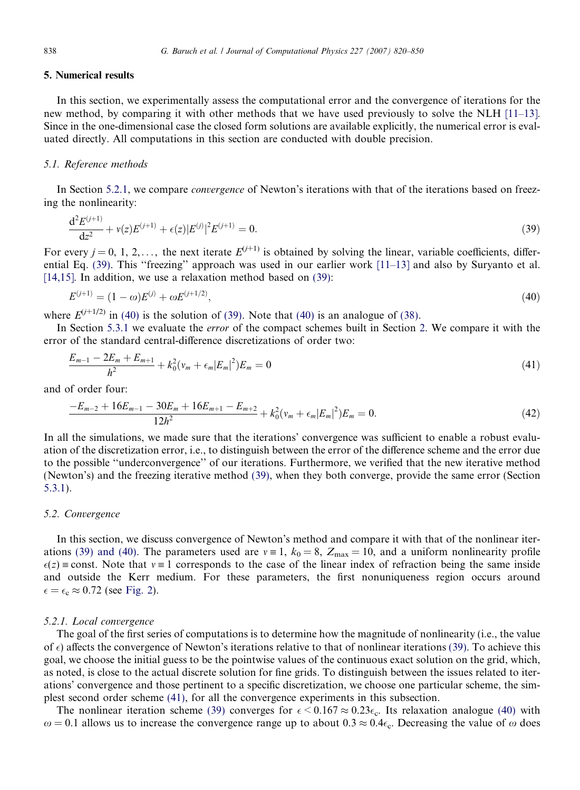## <span id="page-18-0"></span>5. Numerical results

In this section, we experimentally assess the computational error and the convergence of iterations for the new method, by comparing it with other methods that we have used previously to solve the NLH [\[11–13\].](#page-30-0) Since in the one-dimensional case the closed form solutions are available explicitly, the numerical error is evaluated directly. All computations in this section are conducted with double precision.

## 5.1. Reference methods

In Section 5.2.1, we compare *convergence* of Newton's iterations with that of the iterations based on freezing the nonlinearity:

$$
\frac{\mathrm{d}^2 E^{(j+1)}}{\mathrm{d}z^2} + v(z)E^{(j+1)} + \epsilon(z)|E^{(j)}|^2 E^{(j+1)} = 0.
$$
\n(39)

For every  $j = 0, 1, 2, \ldots$ , the next iterate  $E^{(j+1)}$  is obtained by solving the linear, variable coefficients, differential Eq. (39). This "freezing" approach was used in our earlier work [11-13] and also by Suryanto et al. [\[14,15\]](#page-30-0). In addition, we use a relaxation method based on (39):

$$
E^{(j+1)} = (1 - \omega)E^{(j)} + \omega E^{(j+1/2)},\tag{40}
$$

where  $E^{(j+1/2)}$  in (40) is the solution of (39). Note that (40) is an analogue of [\(38\).](#page-17-0)

In Section [5.3.1](#page-21-0) we evaluate the *error* of the compact schemes built in Section [2](#page-5-0). We compare it with the error of the standard central-difference discretizations of order two:

$$
\frac{E_{m-1} - 2E_m + E_{m+1}}{h^2} + k_0^2 (v_m + \epsilon_m |E_m|^2) E_m = 0
$$
\n(41)

and of order four:

$$
\frac{-E_{m-2} + 16E_{m-1} - 30E_m + 16E_{m+1} - E_{m+2}}{12h^2} + k_0^2(v_m + \epsilon_m |E_m|^2)E_m = 0.
$$
\n
$$
(42)
$$

In all the simulations, we made sure that the iterations' convergence was sufficient to enable a robust evaluation of the discretization error, i.e., to distinguish between the error of the difference scheme and the error due to the possible ''underconvergence'' of our iterations. Furthermore, we verified that the new iterative method (Newton's) and the freezing iterative method (39), when they both converge, provide the same error (Section [5.3.1\)](#page-21-0).

## 5.2. Convergence

In this section, we discuss convergence of Newton's method and compare it with that of the nonlinear iterations (39) and (40). The parameters used are  $v = 1$ ,  $k_0 = 8$ ,  $Z_{\text{max}} = 10$ , and a uniform nonlinearity profile  $\epsilon(z)$  = const. Note that  $v = 1$  corresponds to the case of the linear index of refraction being the same inside and outside the Kerr medium. For these parameters, the first nonuniqueness region occurs around  $\epsilon = \epsilon_{\rm c} \approx 0.72$  (see [Fig. 2](#page-3-0)).

#### 5.2.1. Local convergence

The goal of the first series of computations is to determine how the magnitude of nonlinearity (i.e., the value of  $\epsilon$ ) affects the convergence of Newton's iterations relative to that of nonlinear iterations (39). To achieve this goal, we choose the initial guess to be the pointwise values of the continuous exact solution on the grid, which, as noted, is close to the actual discrete solution for fine grids. To distinguish between the issues related to iterations' convergence and those pertinent to a specific discretization, we choose one particular scheme, the simplest second order scheme (41), for all the convergence experiments in this subsection.

The nonlinear iteration scheme (39) converges for  $\epsilon \le 0.167 \approx 0.23\epsilon_c$ . Its relaxation analogue (40) with  $\omega = 0.1$  allows us to increase the convergence range up to about  $0.3 \approx 0.4\epsilon_c$ . Decreasing the value of  $\omega$  does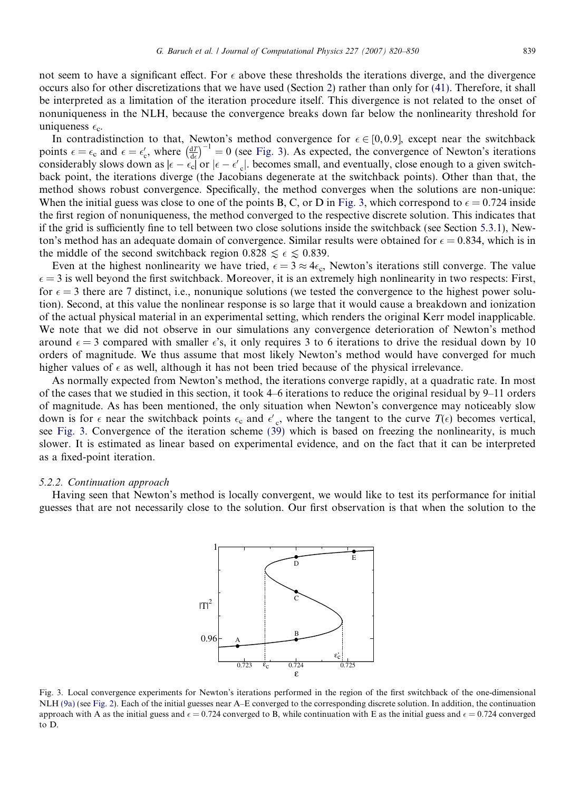<span id="page-19-0"></span>not seem to have a significant effect. For  $\epsilon$  above these thresholds the iterations diverge, and the divergence occurs also for other discretizations that we have used (Section [2\)](#page-5-0) rather than only for [\(41\)](#page-18-0). Therefore, it shall be interpreted as a limitation of the iteration procedure itself. This divergence is not related to the onset of nonuniqueness in the NLH, because the convergence breaks down far below the nonlinearity threshold for uniqueness  $\epsilon_{c}$ .

In contradistinction to that, Newton's method convergence for  $\epsilon \in [0, 0.9]$ , except near the switchback points  $\epsilon = \epsilon_c$  and  $\epsilon = \epsilon'_c$ , where  $\left(\frac{d\tau}{d\epsilon}\right)^{-1} = 0$  (see Fig. 3). As expected, the convergence of Newton's iterations considerably slows down as  $|\epsilon - \epsilon_c|$  or  $|\epsilon - \epsilon_c|$ . becomes small, and eventually, close enough to a given switchback point, the iterations diverge (the Jacobians degenerate at the switchback points). Other than that, the method shows robust convergence. Specifically, the method converges when the solutions are non-unique: When the initial guess was close to one of the points B, C, or D in Fig. 3, which correspond to  $\epsilon = 0.724$  inside the first region of nonuniqueness, the method converged to the respective discrete solution. This indicates that if the grid is sufficiently fine to tell between two close solutions inside the switchback (see Section [5.3.1](#page-21-0)), Newton's method has an adequate domain of convergence. Similar results were obtained for  $\epsilon = 0.834$ , which is in the middle of the second switchback region  $0.828 \le \epsilon \le 0.839$ .

Even at the highest nonlinearity we have tried,  $\epsilon = 3 \approx 4\epsilon_c$ , Newton's iterations still converge. The value  $\epsilon = 3$  is well beyond the first switchback. Moreover, it is an extremely high nonlinearity in two respects: First, for  $\epsilon = 3$  there are 7 distinct, i.e., nonunique solutions (we tested the convergence to the highest power solution). Second, at this value the nonlinear response is so large that it would cause a breakdown and ionization of the actual physical material in an experimental setting, which renders the original Kerr model inapplicable. We note that we did not observe in our simulations any convergence deterioration of Newton's method around  $\epsilon = 3$  compared with smaller  $\epsilon$ 's, it only requires 3 to 6 iterations to drive the residual down by 10 orders of magnitude. We thus assume that most likely Newton's method would have converged for much higher values of  $\epsilon$  as well, although it has not been tried because of the physical irrelevance.

As normally expected from Newton's method, the iterations converge rapidly, at a quadratic rate. In most of the cases that we studied in this section, it took 4–6 iterations to reduce the original residual by 9–11 orders of magnitude. As has been mentioned, the only situation when Newton's convergence may noticeably slow down is for  $\epsilon$  near the switchback points  $\epsilon_c$  and  $\epsilon'$ <sub>c</sub>, where the tangent to the curve  $T(\epsilon)$  becomes vertical, see Fig. 3. Convergence of the iteration scheme [\(39\)](#page-18-0) which is based on freezing the nonlinearity, is much slower. It is estimated as linear based on experimental evidence, and on the fact that it can be interpreted as a fixed-point iteration.

#### 5.2.2. Continuation approach

Having seen that Newton's method is locally convergent, we would like to test its performance for initial guesses that are not necessarily close to the solution. Our first observation is that when the solution to the



Fig. 3. Local convergence experiments for Newton's iterations performed in the region of the first switchback of the one-dimensional NLH [\(9a\)](#page-4-0) (see [Fig. 2\)](#page-3-0). Each of the initial guesses near A–E converged to the corresponding discrete solution. In addition, the continuation approach with A as the initial guess and  $\epsilon = 0.724$  converged to B, while continuation with E as the initial guess and  $\epsilon = 0.724$  converged to D.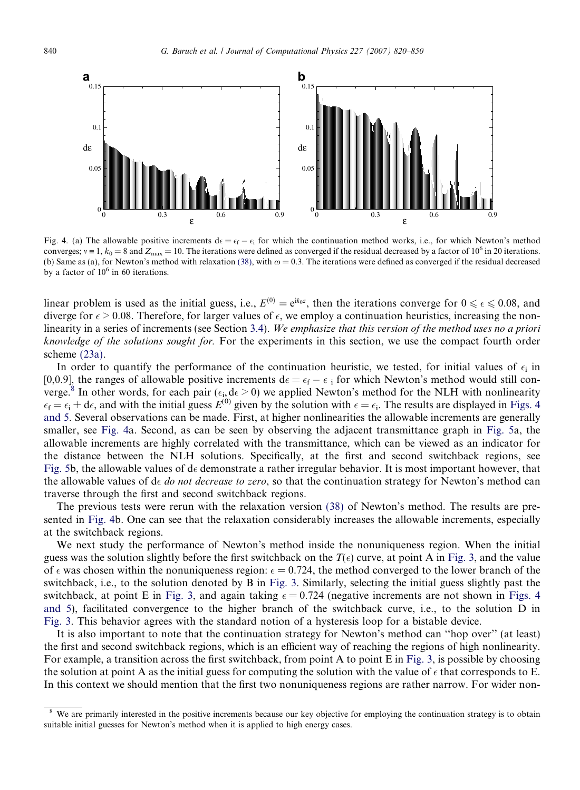<span id="page-20-0"></span>

Fig. 4. (a) The allowable positive increments  $d\epsilon = \epsilon_f - \epsilon_i$  for which the continuation method works, i.e., for which Newton's method converges;  $v \equiv 1$ ,  $k_0 = 8$  and  $Z_{\text{max}} = 10$ . The iterations were defined as converged if the residual decreased by a factor of 10<sup>6</sup> in 20 iterations. (b) Same as (a), for Newton's method with relaxation [\(38\)](#page-17-0), with  $\omega = 0.3$ . The iterations were defined as converged if the residual decreased by a factor of  $10^6$  in 60 iterations.

linear problem is used as the initial guess, i.e.,  $E^{(0)} = e^{ik_0 z}$ , then the iterations converge for  $0 \le \epsilon \le 0.08$ , and diverge for  $\epsilon > 0.08$ . Therefore, for larger values of  $\epsilon$ , we employ a continuation heuristics, increasing the nonlinearity in a series of increments (see Section [3.4](#page-16-0)). We emphasize that this version of the method uses no a priori knowledge of the solutions sought for. For the experiments in this section, we use the compact fourth order scheme [\(23a\).](#page-10-0)

In order to quantify the performance of the continuation heuristic, we tested, for initial values of  $\epsilon_i$  in [0,0.9], the ranges of allowable positive increments  $d\epsilon = \epsilon_f - \epsilon_i$  for which Newton's method would still converge.<sup>8</sup> In other words, for each pair ( $\epsilon_i$ ,  $d\epsilon > 0$ ) we applied Newton's method for the NLH with nonlinearity  $\epsilon_f = \epsilon_i + d\epsilon$ , and with the initial guess  $E^{(0)}$  given by the solution with  $\epsilon = \epsilon_i$ . The results are displayed in Figs. 4 and 5. Several observations can be made. First, at higher nonlinearities the allowable increments are generally smaller, see Fig. 4a. Second, as can be seen by observing the adjacent transmittance graph in [Fig. 5a](#page-21-0), the allowable increments are highly correlated with the transmittance, which can be viewed as an indicator for the distance between the NLH solutions. Specifically, at the first and second switchback regions, see [Fig. 5b](#page-21-0), the allowable values of de demonstrate a rather irregular behavior. It is most important however, that the allowable values of de *do not decrease to zero*, so that the continuation strategy for Newton's method can traverse through the first and second switchback regions.

The previous tests were rerun with the relaxation version [\(38\)](#page-17-0) of Newton's method. The results are presented in Fig. 4b. One can see that the relaxation considerably increases the allowable increments, especially at the switchback regions.

We next study the performance of Newton's method inside the nonuniqueness region. When the initial guess was the solution slightly before the first switchback on the  $T(\epsilon)$  curve, at point A in [Fig. 3](#page-19-0), and the value of  $\epsilon$  was chosen within the nonuniqueness region:  $\epsilon = 0.724$ , the method converged to the lower branch of the switchback, i.e., to the solution denoted by B in [Fig. 3](#page-19-0). Similarly, selecting the initial guess slightly past the switchback, at point E in [Fig. 3](#page-19-0), and again taking  $\epsilon = 0.724$  (negative increments are not shown in Figs. 4 and 5), facilitated convergence to the higher branch of the switchback curve, i.e., to the solution D in [Fig. 3.](#page-19-0) This behavior agrees with the standard notion of a hysteresis loop for a bistable device.

It is also important to note that the continuation strategy for Newton's method can ''hop over'' (at least) the first and second switchback regions, which is an efficient way of reaching the regions of high nonlinearity. For example, a transition across the first switchback, from point A to point E in [Fig. 3,](#page-19-0) is possible by choosing the solution at point A as the initial guess for computing the solution with the value of  $\epsilon$  that corresponds to E. In this context we should mention that the first two nonuniqueness regions are rather narrow. For wider non-

We are primarily interested in the positive increments because our key objective for employing the continuation strategy is to obtain suitable initial guesses for Newton's method when it is applied to high energy cases.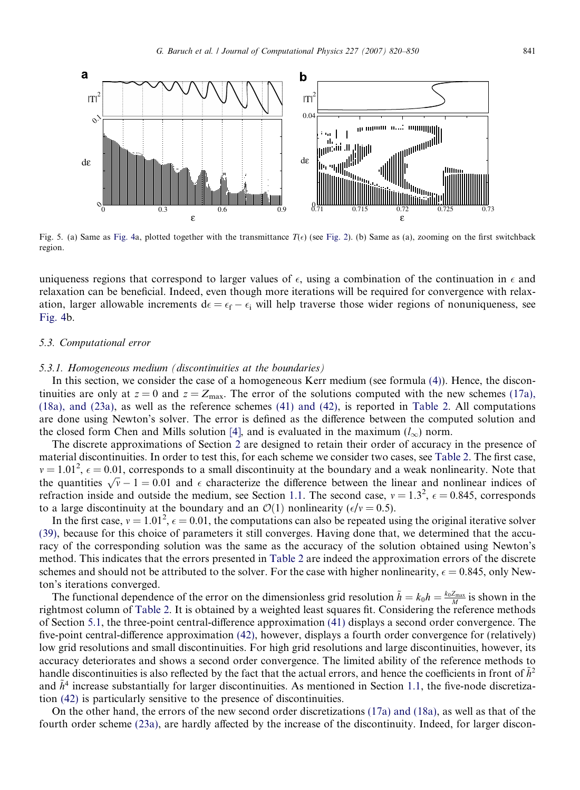<span id="page-21-0"></span>

Fig. 5. (a) Same as [Fig. 4a](#page-20-0), plotted together with the transmittance  $T(\epsilon)$  (see [Fig. 2\)](#page-3-0). (b) Same as (a), zooming on the first switchback region.

uniqueness regions that correspond to larger values of  $\epsilon$ , using a combination of the continuation in  $\epsilon$  and relaxation can be beneficial. Indeed, even though more iterations will be required for convergence with relaxation, larger allowable increments  $d\epsilon = \epsilon_f - \epsilon_i$  will help traverse those wider regions of nonuniqueness, see [Fig. 4](#page-20-0)b.

# 5.3. Computational error

## 5.3.1. Homogeneous medium (discontinuities at the boundaries)

In this section, we consider the case of a homogeneous Kerr medium (see formula [\(4\)\)](#page-1-0). Hence, the discontinuities are only at  $z = 0$  and  $z = Z_{\text{max}}$ . The error of the solutions computed with the new schemes [\(17a\),](#page-6-0) [\(18a\), and \(23a\)](#page-6-0), as well as the reference schemes [\(41\) and \(42\)](#page-18-0), is reported in [Table 2.](#page-22-0) All computations are done using Newton's solver. The error is defined as the difference between the computed solution and the closed form Chen and Mills solution [\[4\],](#page-29-0) and is evaluated in the maximum  $(l_{\infty})$  norm.

The discrete approximations of Section [2](#page-5-0) are designed to retain their order of accuracy in the presence of material discontinuities. In order to test this, for each scheme we consider two cases, see [Table 2.](#page-22-0) The first case,  $v = 1.01^2$ ,  $\epsilon = 0.01$ , corresponds to a small discontinuity at the boundary and a weak nonlinearity. Note that  $v = 1.01$ ,  $e = 0.01$ , corresponds to a small discontinuity at the boundary and a weak nonlinearity. Note that the quantities  $\sqrt{v} - 1 = 0.01$  and  $\epsilon$  characterize the difference between the linear and nonlinear indices o refraction inside and outside the medium, see Section [1.1](#page-1-0). The second case,  $v = 1.3^2$ ,  $\epsilon = 0.845$ , corresponds to a large discontinuity at the boundary and an  $\mathcal{O}(1)$  nonlinearity ( $\epsilon/v = 0.5$ ).

In the first case,  $v = 1.01^2$ ,  $\epsilon = 0.01$ , the computations can also be repeated using the original iterative solver [\(39\)](#page-18-0), because for this choice of parameters it still converges. Having done that, we determined that the accuracy of the corresponding solution was the same as the accuracy of the solution obtained using Newton's method. This indicates that the errors presented in [Table 2](#page-22-0) are indeed the approximation errors of the discrete schemes and should not be attributed to the solver. For the case with higher nonlinearity,  $\epsilon = 0.845$ , only Newton's iterations converged.

The functional dependence of the error on the dimensionless grid resolution  $\tilde{h} = k_0 h = \frac{k_0 Z_{\text{max}}}{M}$  is shown in the rightmost column of [Table 2.](#page-22-0) It is obtained by a weighted least squares fit. Considering the reference methods of Section [5.1,](#page-18-0) the three-point central-difference approximation [\(41\)](#page-18-0) displays a second order convergence. The five-point central-difference approximation [\(42\)](#page-18-0), however, displays a fourth order convergence for (relatively) low grid resolutions and small discontinuities. For high grid resolutions and large discontinuities, however, its accuracy deteriorates and shows a second order convergence. The limited ability of the reference methods to handle discontinuities is also reflected by the fact that the actual errors, and hence the coefficients in front of  $\hat{h}^2$ and  $h<sup>4</sup>$  increase substantially for larger discontinuities. As mentioned in Section [1.1](#page-1-0), the five-node discretization [\(42\)](#page-18-0) is particularly sensitive to the presence of discontinuities.

On the other hand, the errors of the new second order discretizations [\(17a\) and \(18a\)](#page-6-0), as well as that of the fourth order scheme [\(23a\),](#page-10-0) are hardly affected by the increase of the discontinuity. Indeed, for larger discon-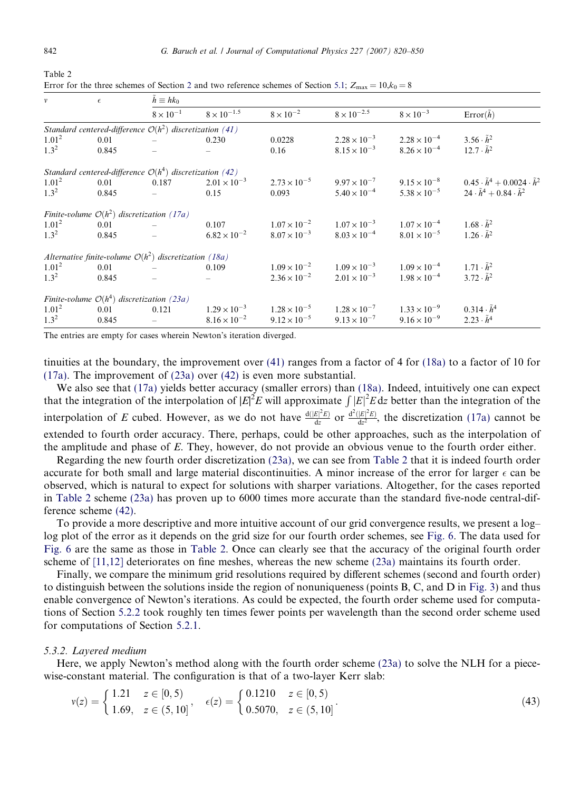| $\mathcal{V}$     | $\epsilon$ | $h \equiv hk_0$                                                     |                       |                       |                                             |                       |                                                     |  |  |
|-------------------|------------|---------------------------------------------------------------------|-----------------------|-----------------------|---------------------------------------------|-----------------------|-----------------------------------------------------|--|--|
|                   |            | $8 \times 10^{-1}$                                                  | $8\times10^{-1.5}$    | $8 \times 10^{-2}$    | $8 \times 10^{-2.5}$                        | $8 \times 10^{-3}$    | $Error(\tilde{h})$                                  |  |  |
|                   |            | Standard centered-difference $\mathcal{O}(h^2)$ discretization (41) |                       |                       |                                             |                       |                                                     |  |  |
| 1.01 <sup>2</sup> | 0.01       |                                                                     | 0.230                 | 0.0228                | $2.28 \times 10^{-3}$                       | $2.28 \times 10^{-4}$ | $3.56 \cdot \tilde{h}^2$                            |  |  |
| $1.3^{2}$         | 0.845      |                                                                     |                       | 0.16                  | $8.15 \times 10^{-3}$                       | $8.26 \times 10^{-4}$ | $12.7 \cdot \tilde{h}^2$                            |  |  |
|                   |            | Standard centered-difference $O(h^4)$ discretization (42)           |                       |                       |                                             |                       |                                                     |  |  |
| $1.01^2$          | 0.01       | 0.187                                                               | $2.01 \times 10^{-3}$ | $2.73 \times 10^{-5}$ | $9.97 \times 10^{-7}$                       | $9.15 \times 10^{-8}$ | $0.45 \cdot \tilde{h}^4 + 0.0024 \cdot \tilde{h}^2$ |  |  |
| $1.3^{2}$         | 0.845      |                                                                     | 0.15                  | 0.093                 | $5.40 \times 10^{-4}$                       | $5.38 \times 10^{-5}$ | $24 \cdot \tilde{h}^4 + 0.84 \cdot \tilde{h}^2$     |  |  |
|                   |            | Finite-volume $O(h^2)$ discretization (17a)                         |                       |                       |                                             |                       |                                                     |  |  |
| $1.01^2$          | 0.01       |                                                                     | 0.107                 |                       | $1.07 \times 10^{-2}$ $1.07 \times 10^{-3}$ | $1.07 \times 10^{-4}$ | $1.68 \cdot h^2$                                    |  |  |
| $1.3^{2}$         | 0.845      |                                                                     | $6.82 \times 10^{-2}$ | $8.07 \times 10^{-3}$ | $8.03 \times 10^{-4}$                       | $8.01 \times 10^{-5}$ | $1.26 \cdot \tilde{h}^2$                            |  |  |
|                   |            | Alternative finite-volume $O(h^2)$ discretization (18a)             |                       |                       |                                             |                       |                                                     |  |  |
| $1.01^2$          | 0.01       |                                                                     | 0.109                 | $1.09 \times 10^{-2}$ | $1.09 \times 10^{-3}$                       | $1.09 \times 10^{-4}$ | $1.71 \cdot h^2$                                    |  |  |
| $1.3^{2}$         | 0.845      |                                                                     |                       | $2.36 \times 10^{-2}$ | $2.01 \times 10^{-3}$                       | $1.98 \times 10^{-4}$ | $3.72 \cdot \tilde{h}^2$                            |  |  |
|                   |            | Finite-volume $O(h^4)$ discretization (23a)                         |                       |                       |                                             |                       |                                                     |  |  |
| $1.01^2$          | 0.01       | 0.121                                                               | $1.29 \times 10^{-3}$ | $1.28 \times 10^{-5}$ | $1.28 \times 10^{-7}$                       | $1.33 \times 10^{-9}$ | $0.314 \cdot \tilde{h}^4$                           |  |  |
| $1.3^{2}$         | 0.845      | $\sim$                                                              | $8.16 \times 10^{-2}$ | $9.12 \times 10^{-5}$ | $9.13 \times 10^{-7}$                       | $9.16 \times 10^{-9}$ | $2.23 \cdot \tilde{h}^4$                            |  |  |

<span id="page-22-0"></span>Table 2 Error for the three schemes of Section [2](#page-5-0) and two reference schemes of Section [5.1;](#page-18-0)  $Z_{\text{max}} = 10, k_0 = 8$ 

The entries are empty for cases wherein Newton's iteration diverged.

tinuities at the boundary, the improvement over [\(41\)](#page-18-0) ranges from a factor of 4 for [\(18a\)](#page-8-0) to a factor of 10 for [\(17a\).](#page-6-0) The improvement of [\(23a\)](#page-10-0) over [\(42\)](#page-18-0) is even more substantial.

We also see that [\(17a\)](#page-6-0) yields better accuracy (smaller errors) than [\(18a\)](#page-8-0). Indeed, intuitively one can expect that the integration of the interpolation of  $|E|^2 E$  will approximate  $\int |E|^2 E dz$  better than the integration of the interpolation of E cubed. However, as we do not have  $\frac{d(|E|^2 E)}{dz}$  or  $\frac{d^2(|E|^2 E)}{dz^2}$ , the discretization [\(17a\)](#page-6-0) cannot be extended to fourth order accuracy. There, perhaps, could be other approaches, such as the interpolation of the amplitude and phase of E. They, however, do not provide an obvious venue to the fourth order either.

Regarding the new fourth order discretization [\(23a\),](#page-10-0) we can see from Table 2 that it is indeed fourth order accurate for both small and large material discontinuities. A minor increase of the error for larger  $\epsilon$  can be observed, which is natural to expect for solutions with sharper variations. Altogether, for the cases reported in Table 2 scheme [\(23a\)](#page-10-0) has proven up to 6000 times more accurate than the standard five-node central-difference scheme [\(42\)](#page-18-0).

To provide a more descriptive and more intuitive account of our grid convergence results, we present a log– log plot of the error as it depends on the grid size for our fourth order schemes, see [Fig. 6.](#page-23-0) The data used for [Fig. 6](#page-23-0) are the same as those in Table 2. Once can clearly see that the accuracy of the original fourth order scheme of [\[11,12\]](#page-30-0) deteriorates on fine meshes, whereas the new scheme [\(23a\)](#page-10-0) maintains its fourth order.

Finally, we compare the minimum grid resolutions required by different schemes (second and fourth order) to distinguish between the solutions inside the region of nonuniqueness (points B, C, and D in [Fig. 3\)](#page-19-0) and thus enable convergence of Newton's iterations. As could be expected, the fourth order scheme used for computations of Section [5.2.2](#page-19-0) took roughly ten times fewer points per wavelength than the second order scheme used for computations of Section [5.2.1](#page-18-0).

#### 5.3.2. Layered medium

Here, we apply Newton's method along with the fourth order scheme [\(23a\)](#page-10-0) to solve the NLH for a piecewise-constant material. The configuration is that of a two-layer Kerr slab:

$$
v(z) = \begin{cases} 1.21 & z \in [0, 5) \\ 1.69, & z \in (5, 10] \end{cases}, \quad \epsilon(z) = \begin{cases} 0.1210 & z \in [0, 5) \\ 0.5070, & z \in (5, 10] \end{cases}.
$$
 (43)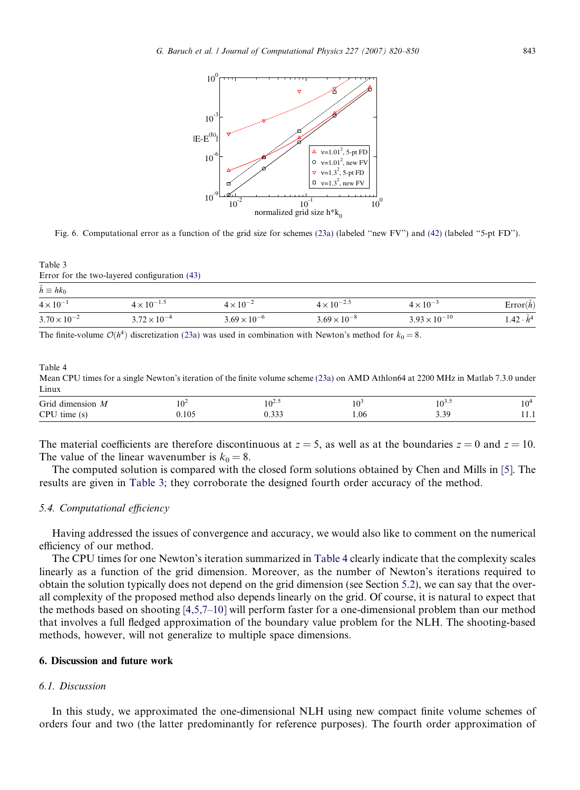<span id="page-23-0"></span>

Fig. 6. Computational error as a function of the grid size for schemes [\(23a\)](#page-10-0) (labeled "new FV") and [\(42\)](#page-18-0) (labeled "5-pt FD").

Table 3 Error for the two-layered configuration [\(43\)](#page-22-0)

| $\sim$<br>$h \equiv hk_0$                                           |                       |                       |                       |                        |                          |  |
|---------------------------------------------------------------------|-----------------------|-----------------------|-----------------------|------------------------|--------------------------|--|
| $4 \times 10^{-1}$                                                  | $4 \times 10^{-1.5}$  | $4 \times 10^{-2}$    | $4 \times 10^{-2.5}$  | $4 \times 10^{-3}$     | $Error(\tilde{h})$       |  |
| <b>Contract Contract Contract Contract</b><br>$3.70 \times 10^{-2}$ | $3.72 \times 10^{-4}$ | $3.69 \times 10^{-6}$ | $3.69 \times 10^{-8}$ | $3.93 \times 10^{-10}$ | $1.42 \cdot \tilde{h}^4$ |  |
|                                                                     |                       |                       |                       |                        |                          |  |

The finite-volume  $O(h^4)$  discretization [\(23a\)](#page-10-0) was used in combination with Newton's method for  $k_0 = 8$ .

Table 4

Mean CPU times for a single Newton's iteration of the finite volume scheme [\(23a\)](#page-10-0) on AMD Athlon64 at 2200 MHz in Matlab 7.3.0 under Linux

| È<br>، 111C<br>aension<br>$\mathbf{w}$<br>-----<br>______ | . .   | . 24 -<br>. . |      | Λ.<br>1 <sub>0</sub> | 5 - ۱<br>* ∿ |
|-----------------------------------------------------------|-------|---------------|------|----------------------|--------------|
| $\cap$ n<br>tıme<br>$\sim$                                | 0.102 | J<br>.        | 1.VV | <u></u>              |              |

The material coefficients are therefore discontinuous at  $z = 5$ , as well as at the boundaries  $z = 0$  and  $z = 10$ . The value of the linear wavenumber is  $k_0 = 8$ .

The computed solution is compared with the closed form solutions obtained by Chen and Mills in [\[5\]](#page-29-0). The results are given in Table 3; they corroborate the designed fourth order accuracy of the method.

# 5.4. Computational efficiency

Having addressed the issues of convergence and accuracy, we would also like to comment on the numerical efficiency of our method.

The CPU times for one Newton's iteration summarized in Table 4 clearly indicate that the complexity scales linearly as a function of the grid dimension. Moreover, as the number of Newton's iterations required to obtain the solution typically does not depend on the grid dimension (see Section [5.2\)](#page-18-0), we can say that the overall complexity of the proposed method also depends linearly on the grid. Of course, it is natural to expect that the methods based on shooting [\[4,5,7–10\]](#page-29-0) will perform faster for a one-dimensional problem than our method that involves a full fledged approximation of the boundary value problem for the NLH. The shooting-based methods, however, will not generalize to multiple space dimensions.

## 6. Discussion and future work

# 6.1. Discussion

In this study, we approximated the one-dimensional NLH using new compact finite volume schemes of orders four and two (the latter predominantly for reference purposes). The fourth order approximation of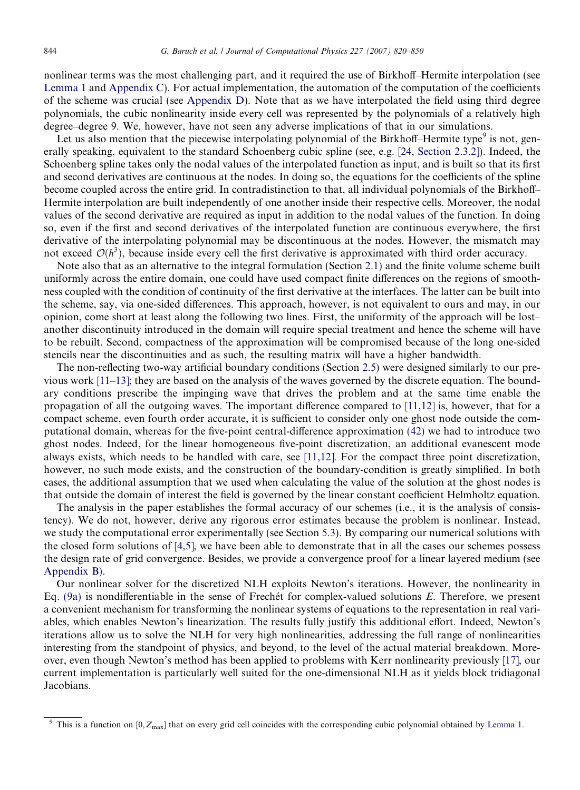nonlinear terms was the most challenging part, and it required the use of Birkhoff–Hermite interpolation (see [Lemma 1](#page-9-0) and Appendix C). For actual implementation, the automation of the computation of the coefficients of the scheme was crucial (see Appendix D). Note that as we have interpolated the field using third degree polynomials, the cubic nonlinearity inside every cell was represented by the polynomials of a relatively high degree–degree 9. We, however, have not seen any adverse implications of that in our simulations.

Let us also mention that the piecewise interpolating polynomial of the Birkhoff–Hermite type<sup>9</sup> is not, generally speaking, equivalent to the standard Schoenberg cubic spline (see, e.g. [\[24, Section 2.3.2\]\)](#page-30-0). Indeed, the Schoenberg spline takes only the nodal values of the interpolated function as input, and is built so that its first and second derivatives are continuous at the nodes. In doing so, the equations for the coefficients of the spline become coupled across the entire grid. In contradistinction to that, all individual polynomials of the Birkhoff– Hermite interpolation are built independently of one another inside their respective cells. Moreover, the nodal values of the second derivative are required as input in addition to the nodal values of the function. In doing so, even if the first and second derivatives of the interpolated function are continuous everywhere, the first derivative of the interpolating polynomial may be discontinuous at the nodes. However, the mismatch may not exceed  $\mathcal{O}(h^3)$ , because inside every cell the first derivative is approximated with third order accuracy.

Note also that as an alternative to the integral formulation (Section [2.1\)](#page-5-0) and the finite volume scheme built uniformly across the entire domain, one could have used compact finite differences on the regions of smoothness coupled with the condition of continuity of the first derivative at the interfaces. The latter can be built into the scheme, say, via one-sided differences. This approach, however, is not equivalent to ours and may, in our opinion, come short at least along the following two lines. First, the uniformity of the approach will be lost– another discontinuity introduced in the domain will require special treatment and hence the scheme will have to be rebuilt. Second, compactness of the approximation will be compromised because of the long one-sided stencils near the discontinuities and as such, the resulting matrix will have a higher bandwidth.

The non-reflecting two-way artificial boundary conditions (Section [2.5](#page-12-0)) were designed similarly to our previous work [\[11–13\]](#page-30-0); they are based on the analysis of the waves governed by the discrete equation. The boundary conditions prescribe the impinging wave that drives the problem and at the same time enable the propagation of all the outgoing waves. The important difference compared to [\[11,12\]](#page-30-0) is, however, that for a compact scheme, even fourth order accurate, it is sufficient to consider only one ghost node outside the computational domain, whereas for the five-point central-difference approximation [\(42\)](#page-18-0) we had to introduce two ghost nodes. Indeed, for the linear homogeneous five-point discretization, an additional evanescent mode always exists, which needs to be handled with care, see [\[11,12\].](#page-30-0) For the compact three point discretization, however, no such mode exists, and the construction of the boundary-condition is greatly simplified. In both cases, the additional assumption that we used when calculating the value of the solution at the ghost nodes is that outside the domain of interest the field is governed by the linear constant coefficient Helmholtz equation.

The analysis in the paper establishes the formal accuracy of our schemes (i.e., it is the analysis of consistency). We do not, however, derive any rigorous error estimates because the problem is nonlinear. Instead, we study the computational error experimentally (see Section [5.3\)](#page-21-0). By comparing our numerical solutions with the closed form solutions of [\[4,5\],](#page-29-0) we have been able to demonstrate that in all the cases our schemes possess the design rate of grid convergence. Besides, we provide a convergence proof for a linear layered medium (see Appendix B).

Our nonlinear solver for the discretized NLH exploits Newton's iterations. However, the nonlinearity in Eq.  $(9a)$  is nondifferentiable in the sense of Frechet for complex-valued solutions E. Therefore, we present a convenient mechanism for transforming the nonlinear systems of equations to the representation in real variables, which enables Newton's linearization. The results fully justify this additional effort. Indeed, Newton's iterations allow us to solve the NLH for very high nonlinearities, addressing the full range of nonlinearities interesting from the standpoint of physics, and beyond, to the level of the actual material breakdown. Moreover, even though Newton's method has been applied to problems with Kerr nonlinearity previously [\[17\]](#page-30-0), our current implementation is particularly well suited for the one-dimensional NLH as it yields block tridiagonal Jacobians.

<sup>&</sup>lt;sup>9</sup> This is a function on  $[0, Z_{\text{max}}]$  that on every grid cell coincides with the corresponding cubic polynomial obtained by [Lemma 1](#page-9-0).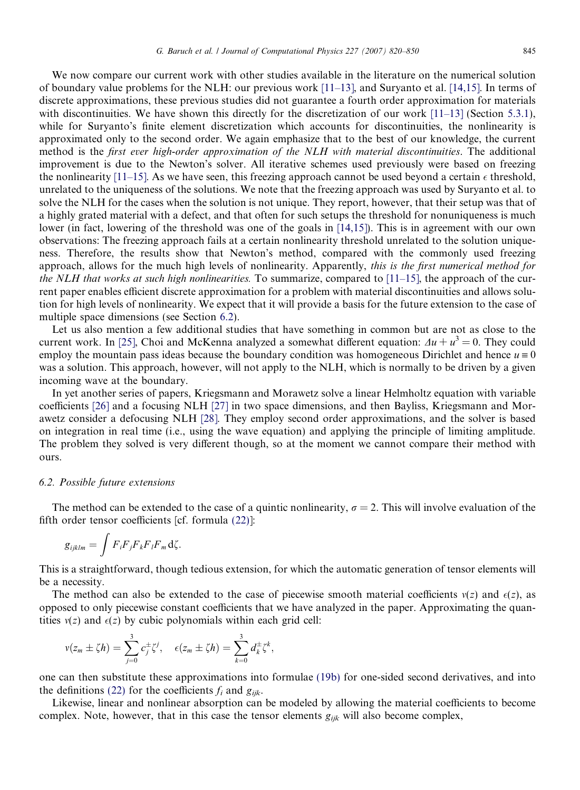We now compare our current work with other studies available in the literature on the numerical solution of boundary value problems for the NLH: our previous work [\[11–13\]](#page-30-0), and Suryanto et al. [\[14,15\]](#page-30-0). In terms of discrete approximations, these previous studies did not guarantee a fourth order approximation for materials with discontinuities. We have shown this directly for the discretization of our work [\[11–13\]](#page-30-0) (Section [5.3.1](#page-21-0)), while for Suryanto's finite element discretization which accounts for discontinuities, the nonlinearity is approximated only to the second order. We again emphasize that to the best of our knowledge, the current method is the first ever high-order approximation of the NLH with material discontinuities. The additional improvement is due to the Newton's solver. All iterative schemes used previously were based on freezing the nonlinearity [\[11–15\]](#page-30-0). As we have seen, this freezing approach cannot be used beyond a certain  $\epsilon$  threshold, unrelated to the uniqueness of the solutions. We note that the freezing approach was used by Suryanto et al. to solve the NLH for the cases when the solution is not unique. They report, however, that their setup was that of a highly grated material with a defect, and that often for such setups the threshold for nonuniqueness is much lower (in fact, lowering of the threshold was one of the goals in [\[14,15\]\)](#page-30-0). This is in agreement with our own observations: The freezing approach fails at a certain nonlinearity threshold unrelated to the solution uniqueness. Therefore, the results show that Newton's method, compared with the commonly used freezing approach, allows for the much high levels of nonlinearity. Apparently, this is the first numerical method for the NLH that works at such high nonlinearities. To summarize, compared to  $[11-15]$ , the approach of the current paper enables efficient discrete approximation for a problem with material discontinuities and allows solution for high levels of nonlinearity. We expect that it will provide a basis for the future extension to the case of multiple space dimensions (see Section 6.2).

Let us also mention a few additional studies that have something in common but are not as close to the current work. In [\[25\],](#page-30-0) Choi and McKenna analyzed a somewhat different equation:  $\Delta u + u^3 = 0$ . They could employ the mountain pass ideas because the boundary condition was homogeneous Dirichlet and hence  $u = 0$ was a solution. This approach, however, will not apply to the NLH, which is normally to be driven by a given incoming wave at the boundary.

In yet another series of papers, Kriegsmann and Morawetz solve a linear Helmholtz equation with variable coefficients [\[26\]](#page-30-0) and a focusing NLH [\[27\]](#page-30-0) in two space dimensions, and then Bayliss, Kriegsmann and Morawetz consider a defocusing NLH [\[28\].](#page-30-0) They employ second order approximations, and the solver is based on integration in real time (i.e., using the wave equation) and applying the principle of limiting amplitude. The problem they solved is very different though, so at the moment we cannot compare their method with ours.

## 6.2. Possible future extensions

The method can be extended to the case of a quintic nonlinearity,  $\sigma = 2$ . This will involve evaluation of the fifth order tensor coefficients [cf. formula [\(22\)](#page-10-0)]:

$$
g_{ijklm} = \int F_i F_j F_k F_l F_m d\zeta.
$$

This is a straightforward, though tedious extension, for which the automatic generation of tensor elements will be a necessity.

The method can also be extended to the case of piecewise smooth material coefficients  $v(z)$  and  $\epsilon(z)$ , as opposed to only piecewise constant coefficients that we have analyzed in the paper. Approximating the quantities  $v(z)$  and  $\epsilon(z)$  by cubic polynomials within each grid cell:

$$
v(z_m \pm \zeta h) = \sum_{j=0}^3 c_j^{\pm} \zeta^j, \quad \epsilon(z_m \pm \zeta h) = \sum_{k=0}^3 d_k^{\pm} \zeta^k,
$$

one can then substitute these approximations into formulae [\(19b\)](#page-8-0) for one-sided second derivatives, and into the definitions [\(22\)](#page-10-0) for the coefficients  $f_i$  and  $g_{ijk}$ .

Likewise, linear and nonlinear absorption can be modeled by allowing the material coefficients to become complex. Note, however, that in this case the tensor elements  $g_{ijk}$  will also become complex,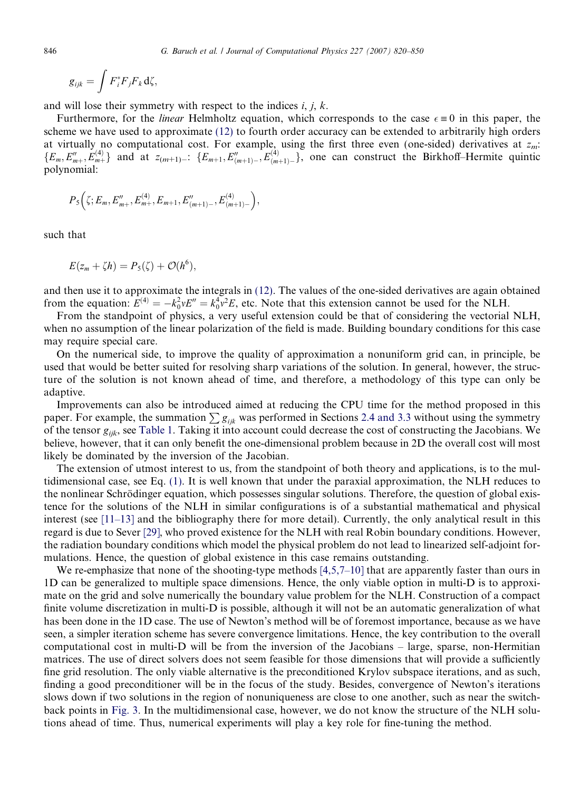$$
g_{ijk} = \int F_i^* F_j F_k d\zeta,
$$

and will lose their symmetry with respect to the indices  $i, j, k$ .

Furthermore, for the *linear* Helmholtz equation, which corresponds to the case  $\epsilon = 0$  in this paper, the scheme we have used to approximate [\(12\)](#page-5-0) to fourth order accuracy can be extended to arbitrarily high orders at virtually no computational cost. For example, using the first three even (one-sided) derivatives at  $z_m$ :  $\{E_m, E''_{m+}, E^{(4)}_{m+}\}\$  and at  $z_{(m+1)-}$ :  $\{E_{m+1}, E''_{(m+1)-}, E^{(4)}_{(m+1)-}\}\$ , one can construct the Birkhoff–Hermite quintic polynomial:

$$
P_5\Big(\zeta;E_m,E''_{m+},E^{(4)}_{m+},E_{m+1},E''_{(m+1)-},E^{(4)}_{(m+1)-}\Big),
$$

such that

$$
E(z_m + \zeta h) = P_5(\zeta) + \mathcal{O}(h^6),
$$

and then use it to approximate the integrals in [\(12\)](#page-5-0). The values of the one-sided derivatives are again obtained from the equation:  $E^{(4)} = -k_0^2 v E'' = k_0^4 v^2 E$ , etc. Note that this extension cannot be used for the NLH.

From the standpoint of physics, a very useful extension could be that of considering the vectorial NLH, when no assumption of the linear polarization of the field is made. Building boundary conditions for this case may require special care.

On the numerical side, to improve the quality of approximation a nonuniform grid can, in principle, be used that would be better suited for resolving sharp variations of the solution. In general, however, the structure of the solution is not known ahead of time, and therefore, a methodology of this type can only be adaptive.

Improvements can also be introduced aimed at reducing the CPU time for the method proposed in this paper. For example, the summation  $\sum g_{ijk}$  was performed in Sections [2.4 and 3.3](#page-8-0) without using the symmetry of the tensor  $g_{ijk}$ , see [Table 1](#page-11-0). Taking it into account could decrease the cost of constructing the Jacobians. We believe, however, that it can only benefit the one-dimensional problem because in 2D the overall cost will most likely be dominated by the inversion of the Jacobian.

The extension of utmost interest to us, from the standpoint of both theory and applications, is to the multidimensional case, see Eq. [\(1\).](#page-1-0) It is well known that under the paraxial approximation, the NLH reduces to the nonlinear Schrödinger equation, which possesses singular solutions. Therefore, the question of global existence for the solutions of the NLH in similar configurations is of a substantial mathematical and physical interest (see [\[11–13\]](#page-30-0) and the bibliography there for more detail). Currently, the only analytical result in this regard is due to Sever [\[29\],](#page-30-0) who proved existence for the NLH with real Robin boundary conditions. However, the radiation boundary conditions which model the physical problem do not lead to linearized self-adjoint formulations. Hence, the question of global existence in this case remains outstanding.

We re-emphasize that none of the shooting-type methods [\[4,5,7–10\]](#page-29-0) that are apparently faster than ours in 1D can be generalized to multiple space dimensions. Hence, the only viable option in multi-D is to approximate on the grid and solve numerically the boundary value problem for the NLH. Construction of a compact finite volume discretization in multi-D is possible, although it will not be an automatic generalization of what has been done in the 1D case. The use of Newton's method will be of foremost importance, because as we have seen, a simpler iteration scheme has severe convergence limitations. Hence, the key contribution to the overall computational cost in multi-D will be from the inversion of the Jacobians – large, sparse, non-Hermitian matrices. The use of direct solvers does not seem feasible for those dimensions that will provide a sufficiently fine grid resolution. The only viable alternative is the preconditioned Krylov subspace iterations, and as such, finding a good preconditioner will be in the focus of the study. Besides, convergence of Newton's iterations slows down if two solutions in the region of nonuniqueness are close to one another, such as near the switchback points in [Fig. 3](#page-19-0). In the multidimensional case, however, we do not know the structure of the NLH solutions ahead of time. Thus, numerical experiments will play a key role for fine-tuning the method.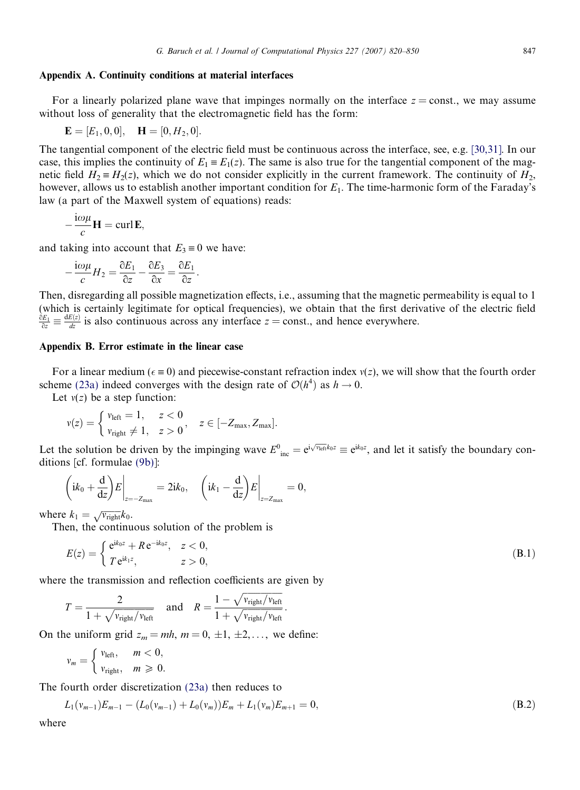#### <span id="page-27-0"></span>Appendix A. Continuity conditions at material interfaces

For a linearly polarized plane wave that impinges normally on the interface  $z = \text{const.}$ , we may assume without loss of generality that the electromagnetic field has the form:

$$
\mathbf{E} = [E_1, 0, 0], \quad \mathbf{H} = [0, H_2, 0].
$$

The tangential component of the electric field must be continuous across the interface, see, e.g. [\[30,31\].](#page-30-0) In our case, this implies the continuity of  $E_1 = E_1(z)$ . The same is also true for the tangential component of the magnetic field  $H_2 = H_2(z)$ , which we do not consider explicitly in the current framework. The continuity of  $H_2$ , however, allows us to establish another important condition for  $E_1$ . The time-harmonic form of the Faraday's law (a part of the Maxwell system of equations) reads:

$$
-\frac{\mathrm{i}\omega\mu}{c}\mathbf{H}=\mathrm{curl}\,\mathbf{E},
$$

and taking into account that  $E_3 = 0$  we have:

$$
-\frac{\mathrm{i}\omega\mu}{c}H_2 = \frac{\partial E_1}{\partial z} - \frac{\partial E_3}{\partial x} = \frac{\partial E_1}{\partial z}.
$$

Then, disregarding all possible magnetization effects, i.e., assuming that the magnetic permeability is equal to 1 (which is certainly legitimate for optical frequencies), we obtain that the first derivative of the electric field  $\frac{\partial E_1}{\partial z} \equiv \frac{dE(z)}{dz}$  is also continuous across any interface  $z =$  const., and hence everywhere.

#### Appendix B. Error estimate in the linear case

For a linear medium ( $\epsilon = 0$ ) and piecewise-constant refraction index  $v(z)$ , we will show that the fourth order scheme [\(23a\)](#page-10-0) indeed converges with the design rate of  $\mathcal{O}(h^4)$  as  $h \to 0$ .

Let  $v(z)$  be a step function:

$$
v(z) = \begin{cases} v_{\text{left}} = 1, & z < 0 \\ v_{\text{right}} \neq 1, & z > 0 \end{cases}, \quad z \in [-Z_{\text{max}}, Z_{\text{max}}].
$$

Let the solution be driven by the impinging wave  $E^0_{\text{inc}} = e^{i\sqrt{v_{\text{left}}}k_0z} \equiv e^{ik_0z}$ , and let it satisfy the boundary conditions [cf. formulae [\(9b\)\]](#page-5-0):

$$
\left(\mathrm{i}k_0 + \frac{\mathrm{d}}{\mathrm{d}z}\right)E\bigg|_{z=-Z_{\text{max}}} = 2\mathrm{i}k_0, \quad \left(\mathrm{i}k_1 - \frac{\mathrm{d}}{\mathrm{d}z}\right)E\bigg|_{z=Z_{\text{max}}} = 0,
$$

where  $k_1 = \sqrt{v_{\text{right}}}k_0$ .

Then, the continuous solution of the problem is

$$
E(z) = \begin{cases} e^{ik_0 z} + R e^{-ik_0 z}, & z < 0, \\ T e^{ik_1 z}, & z > 0, \end{cases}
$$
 (B.1)

where the transmission and reflection coefficients are given by

$$
T = \frac{2}{1 + \sqrt{v_{\text{right}}/v_{\text{left}}}}
$$
 and 
$$
R = \frac{1 - \sqrt{v_{\text{right}}/v_{\text{left}}}}{1 + \sqrt{v_{\text{right}}/v_{\text{left}}}}
$$
.

On the uniform grid  $z_m = mh$ ,  $m = 0, \pm 1, \pm 2, \ldots$ , we define:

$$
v_m = \begin{cases} v_{\text{left}}, & m < 0, \\ v_{\text{right}}, & m \geq 0. \end{cases}
$$

The fourth order discretization [\(23a\)](#page-10-0) then reduces to

$$
L_1(v_{m-1})E_{m-1} - (L_0(v_{m-1}) + L_0(v_m))E_m + L_1(v_m)E_{m+1} = 0,
$$
\n(B.2)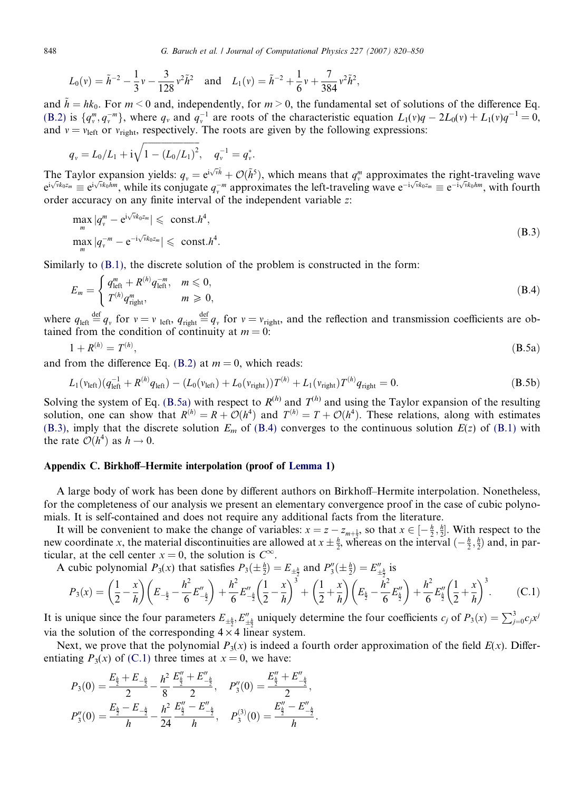$$
L_0(v) = \tilde{h}^{-2} - \frac{1}{3}v - \frac{3}{128}v^2\tilde{h}^2 \text{ and } L_1(v) = \tilde{h}^{-2} + \frac{1}{6}v + \frac{7}{384}v^2\tilde{h}^2,
$$

and  $\tilde{h} = hk_0$ . For  $m \le 0$  and, independently, for  $m > 0$ , the fundamental set of solutions of the difference Eq. [\(B.2\)](#page-27-0) is  $\{q^m_y, q^{-m}_y\}$ , where  $q_y$  and  $q^{-1}_y$  are roots of the characteristic equation  $L_1(v)q - 2L_0(v) + L_1(v)q^{-1} = 0$ , and  $v = v_{\text{left}}$  or  $v_{\text{right}}$ , respectively. The roots are given by the following expressions:

$$
q_{\nu}=L_0/L_1+i\sqrt{1-(L_0/L_1)^2}, \quad q_{\nu}^{-1}=q_{\nu}^*.
$$

The Taylor expansion yields:  $q_v = e^{i\sqrt{v}\hbar} + \mathcal{O}(\tilde{h}^5)$ , which means that  $q_v^m$  approximates the right-traveling wave  $e^{i\sqrt{v}k_0z_m} \equiv e^{i\sqrt{v}k_0hm}$ , while its conjugate  $q_v^{-m}$  approximates the left-traveling wav  $\overline{a}$  order accuracy on any finite interval of the independent variable z:

$$
\max_{m} |q_{\nu}^{m} - e^{i\sqrt{\nu}k_0 z_m}| \leqslant \text{ const.} h^4,
$$
  

$$
\max_{m} |q_{\nu}^{-m} - e^{-i\sqrt{\nu}k_0 z_m}| \leqslant \text{ const.} h^4.
$$
 (B.3)

Similarly to [\(B.1\)](#page-27-0), the discrete solution of the problem is constructed in the form:

$$
E_m = \begin{cases} q_{\text{left}}^m + R^{(h)} q_{\text{left}}^{-m}, & m \leq 0, \\ T^{(h)} q_{\text{right}}^m, & m \geq 0, \end{cases}
$$
 (B.4)

where  $q_{\text{left}} \stackrel{\text{def}}{=} q_v$  for  $v = v_{\text{left}}$ ,  $q_{\text{right}} \stackrel{\text{def}}{=} q_v$  for  $v = v_{\text{right}}$ , and the reflection and transmission coefficients are obtained from the condition of continuity at  $m = 0$ :

$$
1 + R^{(h)} = T^{(h)}, \tag{B.5a}
$$

and from the difference Eq. [\(B.2\)](#page-27-0) at  $m = 0$ , which reads:

$$
L_1(v_{\text{left}})(q_{\text{left}}^{-1} + R^{(h)}q_{\text{left}}) - (L_0(v_{\text{left}}) + L_0(v_{\text{right}}))T^{(h)} + L_1(v_{\text{right}})T^{(h)}q_{\text{right}} = 0.
$$
 (B.5b)

Solving the system of Eq. (B.5a) with respect to  $R^{(h)}$  and  $T^{(h)}$  and using the Taylor expansion of the resulting solution, one can show that  $R^{(h)} = R + \mathcal{O}(h^4)$  and  $T^{(h)} = T + \mathcal{O}(h^4)$ . These relations, along with estimates (B.3), imply that the discrete solution  $E_m$  of (B.4) converges to the continuous solution  $E(z)$  of [\(B.1\)](#page-27-0) with the rate  $\mathcal{O}(h^4)$  as  $h \to 0$ .

# Appendix C. Birkhoff–Hermite interpolation (proof of [Lemma 1\)](#page-9-0)

A large body of work has been done by different authors on Birkhoff–Hermite interpolation. Nonetheless, for the completeness of our analysis we present an elementary convergence proof in the case of cubic polynomials. It is self-contained and does not require any additional facts from the literature.

It will be convenient to make the change of variables:  $x = z - z_{m+\frac{1}{2}}$ , so that  $x \in [-\frac{h}{2}, \frac{h}{2}]$ . With respect to the new coordinate x, the material discontinuities are allowed at  $x \pm \frac{h}{2}$ , whereas on the interval  $\left(-\frac{h}{2}, \frac{h}{2}\right)$  and, in particular, at the cell center  $x = 0$ , the solution is  $C^{\infty}$ .

A cubic polynomial  $P_3(x)$  that satisfies  $P_3(\pm \frac{h}{2}) = E_{\pm \frac{h}{2}}$  and  $P_3''(\pm \frac{h}{2}) = E_{\pm \frac{h}{2}'}''$  is

$$
P_3(x) = \left(\frac{1}{2} - \frac{x}{h}\right)\left(E_{-\frac{h}{2}} - \frac{h^2}{6}E_{-\frac{h}{2}}''\right) + \frac{h^2}{6}E_{-\frac{h}{2}}''\left(\frac{1}{2} - \frac{x}{h}\right)^3 + \left(\frac{1}{2} + \frac{x}{h}\right)\left(E_{\frac{h}{2}} - \frac{h^2}{6}E_{\frac{h}{2}}''\right) + \frac{h^2}{6}E_{\frac{h}{2}}''\left(\frac{1}{2} + \frac{x}{h}\right)^3. \tag{C.1}
$$

It is unique since the four parameters  $E_{\pm\frac{k}{2}}$ ,  $E''_{\pm\frac{k}{2}}$  uniquely determine the four coefficients  $c_j$  of  $P_3(x) = \sum_{j=0}^3 c_j x^j$ via the solution of the corresponding  $4 \times 4$  linear system.

Next, we prove that the polynomial  $P_3(x)$  is indeed a fourth order approximation of the field  $E(x)$ . Differentiating  $P_3(x)$  of (C.1) three times at  $x = 0$ , we have:

$$
P_3(0) = \frac{E_{\frac{h}{2}} + E_{-\frac{h}{2}}}{2} - \frac{h^2}{8} \frac{E_{\frac{h}{2}}'' + E_{-\frac{h}{2}}''}{2}, \quad P_3''(0) = \frac{E_{\frac{h}{2}}'' + E_{-\frac{h}{2}}''}{2},
$$
  

$$
P_3''(0) = \frac{E_{\frac{h}{2}} - E_{-\frac{h}{2}}}{h} - \frac{h^2}{24} \frac{E_{\frac{h}{2}}'' - E_{-\frac{h}{2}}''}{h}, \quad P_3^{(3)}(0) = \frac{E_{\frac{h}{2}}'' - E_{-\frac{h}{2}}''}{h}.
$$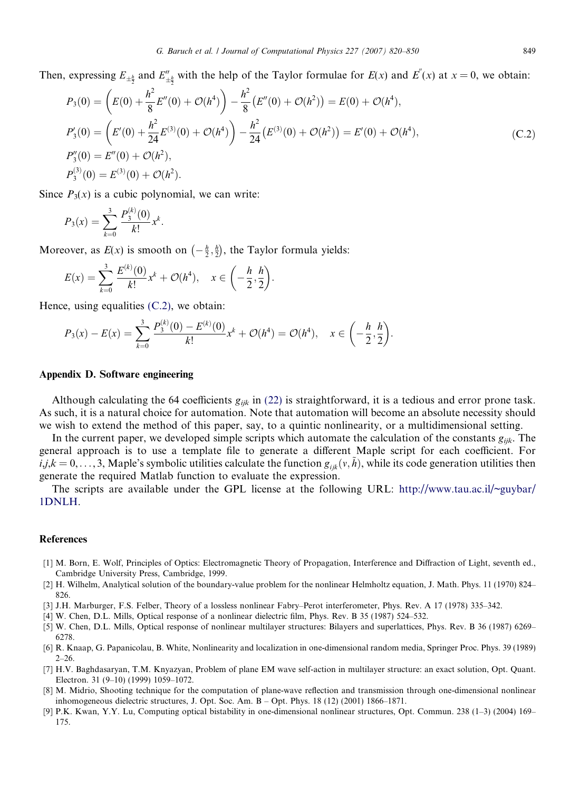<span id="page-29-0"></span>Then, expressing  $E_{\pm \frac{k}{2}}$  and  $E''_{\pm \frac{k}{2}}$  with the help of the Taylor formulae for  $E(x)$  and  $E^{''}(x)$  at  $x = 0$ , we obtain:

$$
P_3(0) = \left(E(0) + \frac{h^2}{8}E''(0) + \mathcal{O}(h^4)\right) - \frac{h^2}{8}\left(E''(0) + \mathcal{O}(h^2)\right) = E(0) + \mathcal{O}(h^4),
$$
  
\n
$$
P'_3(0) = \left(E'(0) + \frac{h^2}{24}E^{(3)}(0) + \mathcal{O}(h^4)\right) - \frac{h^2}{24}\left(E^{(3)}(0) + \mathcal{O}(h^2)\right) = E'(0) + \mathcal{O}(h^4),
$$
  
\n
$$
P''_3(0) = E''(0) + \mathcal{O}(h^2),
$$
  
\n
$$
P_3^{(3)}(0) = E^{(3)}(0) + \mathcal{O}(h^2).
$$
\n(C.2)

Since  $P_3(x)$  is a cubic polynomial, we can write:

$$
P_3(x) = \sum_{k=0}^3 \frac{P_3^{(k)}(0)}{k!} x^k.
$$

Moreover, as  $E(x)$  is smooth on  $\left(-\frac{h}{2}, \frac{h}{2}\right)$ , the Taylor formula yields:

$$
E(x) = \sum_{k=0}^{3} \frac{E^{(k)}(0)}{k!} x^{k} + \mathcal{O}(h^{4}), \quad x \in \left(-\frac{h}{2}, \frac{h}{2}\right).
$$

Hence, using equalities (C.2), we obtain:

$$
P_3(x) - E(x) = \sum_{k=0}^3 \frac{P_3^{(k)}(0) - E^{(k)}(0)}{k!} x^k + \mathcal{O}(h^4) = \mathcal{O}(h^4), \quad x \in \left(-\frac{h}{2}, \frac{h}{2}\right)
$$

## Appendix D. Software engineering

Although calculating the 64 coefficients  $g_{ijk}$  in [\(22\)](#page-10-0) is straightforward, it is a tedious and error prone task. As such, it is a natural choice for automation. Note that automation will become an absolute necessity should we wish to extend the method of this paper, say, to a quintic nonlinearity, or a multidimensional setting.

:

In the current paper, we developed simple scripts which automate the calculation of the constants  $g_{ijk}$ . The general approach is to use a template file to generate a different Maple script for each coefficient. For  $i,j,k = 0,\ldots,3$ , Maple's symbolic utilities calculate the function  $g_{ijk}(v,h)$ , while its code generation utilities then generate the required Matlab function to evaluate the expression.

The scripts are available under the GPL license at the following URL: [http://www.tau.ac.il/~guybar/](http://www.tau.ac.il/~guybar/1DNLH) [1DNLH](http://www.tau.ac.il/~guybar/1DNLH).

#### References

- [1] M. Born, E. Wolf, Principles of Optics: Electromagnetic Theory of Propagation, Interference and Diffraction of Light, seventh ed., Cambridge University Press, Cambridge, 1999.
- [2] H. Wilhelm, Analytical solution of the boundary-value problem for the nonlinear Helmholtz equation, J. Math. Phys. 11 (1970) 824– 826.
- [3] J.H. Marburger, F.S. Felber, Theory of a lossless nonlinear Fabry–Perot interferometer, Phys. Rev. A 17 (1978) 335–342.
- [4] W. Chen, D.L. Mills, Optical response of a nonlinear dielectric film, Phys. Rev. B 35 (1987) 524–532.
- [5] W. Chen, D.L. Mills, Optical response of nonlinear multilayer structures: Bilayers and superlattices, Phys. Rev. B 36 (1987) 6269– 6278.
- [6] R. Knaap, G. Papanicolau, B. White, Nonlinearity and localization in one-dimensional random media, Springer Proc. Phys. 39 (1989)  $2 - 26.$
- [7] H.V. Baghdasaryan, T.M. Knyazyan, Problem of plane EM wave self-action in multilayer structure: an exact solution, Opt. Quant. Electron. 31 (9–10) (1999) 1059–1072.
- [8] M. Midrio, Shooting technique for the computation of plane-wave reflection and transmission through one-dimensional nonlinear inhomogeneous dielectric structures, J. Opt. Soc. Am. B – Opt. Phys. 18 (12) (2001) 1866–1871.
- [9] P.K. Kwan, Y.Y. Lu, Computing optical bistability in one-dimensional nonlinear structures, Opt. Commun. 238 (1–3) (2004) 169– 175.